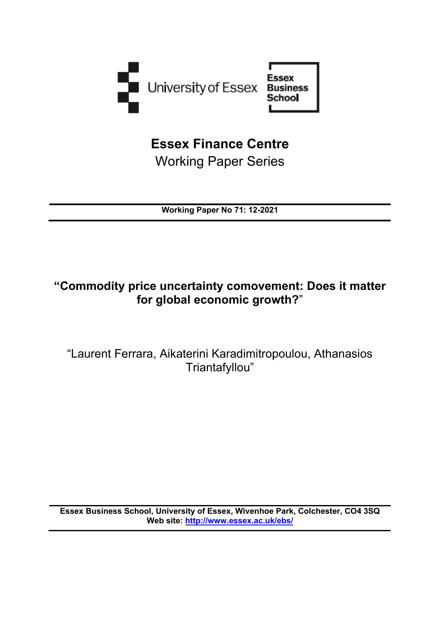

**Essex Finance Centre**  Working Paper Series

**Working Paper No 71: 12-2021**

# **"Commodity price uncertainty comovement: Does it matter for global economic growth?**"

"Laurent Ferrara, Aikaterini Karadimitropoulou, Athanasios Triantafyllou"

**Essex Business School, University of Essex, Wivenhoe Park, Colchester, CO4 3SQ Web site:<http://www.essex.ac.uk/ebs/>**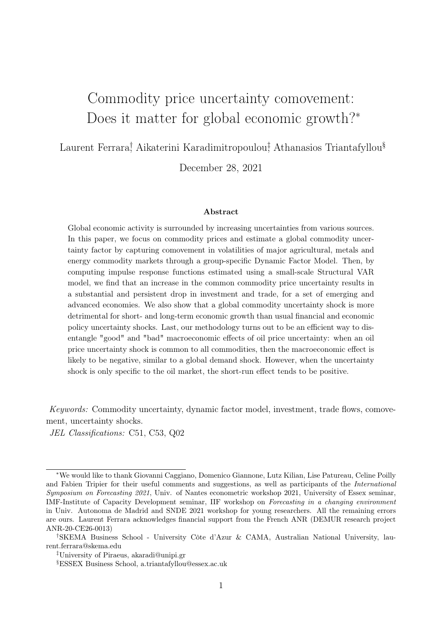# Commodity price uncertainty comovement: Does it matter for global economic growth?<sup>∗</sup>

Laurent Ferrara<sup>†</sup>, Aikaterini Karadimitropoulou‡ Athanasios Triantafyllou<sup>§</sup>

December 28, 2021

#### Abstract

Global economic activity is surrounded by increasing uncertainties from various sources. In this paper, we focus on commodity prices and estimate a global commodity uncertainty factor by capturing comovement in volatilities of major agricultural, metals and energy commodity markets through a group-specific Dynamic Factor Model. Then, by computing impulse response functions estimated using a small-scale Structural VAR model, we find that an increase in the common commodity price uncertainty results in a substantial and persistent drop in investment and trade, for a set of emerging and advanced economies. We also show that a global commodity uncertainty shock is more detrimental for short- and long-term economic growth than usual financial and economic policy uncertainty shocks. Last, our methodology turns out to be an efficient way to disentangle "good" and "bad" macroeconomic effects of oil price uncertainty: when an oil price uncertainty shock is common to all commodities, then the macroeconomic effect is likely to be negative, similar to a global demand shock. However, when the uncertainty shock is only specific to the oil market, the short-run effect tends to be positive.

Keywords: Commodity uncertainty, dynamic factor model, investment, trade flows, comovement, uncertainty shocks.

JEL Classifications: C51, C53, Q02

<sup>∗</sup>We would like to thank Giovanni Caggiano, Domenico Giannone, Lutz Kilian, Lise Patureau, Celine Poilly and Fabien Tripier for their useful comments and suggestions, as well as participants of the *International* Symposium on Forecasting 2021, Univ. of Nantes econometric workshop 2021, University of Essex seminar, IMF-Institute of Capacity Development seminar, IIF workshop on Forecasting in a changing environment in Univ. Autonoma de Madrid and SNDE 2021 workshop for young researchers. All the remaining errors are ours. Laurent Ferrara acknowledges financial support from the French ANR (DEMUR research project ANR-20-CE26-0013)

<sup>†</sup>SKEMA Business School - University Côte d'Azur & CAMA, Australian National University, laurent.ferrara@skema.edu

<sup>‡</sup>University of Piraeus, akaradi@unipi.gr

<sup>§</sup>ESSEX Business School, a.triantafyllou@essex.ac.uk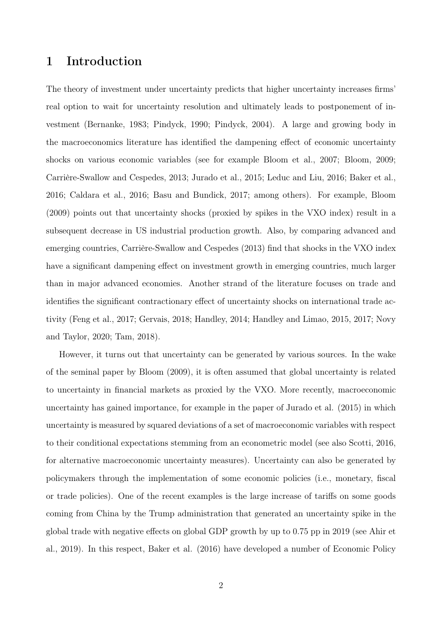## 1 Introduction

The theory of investment under uncertainty predicts that higher uncertainty increases firms' real option to wait for uncertainty resolution and ultimately leads to postponement of investment (Bernanke, 1983; Pindyck, 1990; Pindyck, 2004). A large and growing body in the macroeconomics literature has identified the dampening effect of economic uncertainty shocks on various economic variables (see for example Bloom et al., 2007; Bloom, 2009; Carrière-Swallow and Cespedes, 2013; Jurado et al., 2015; Leduc and Liu, 2016; Baker et al., 2016; Caldara et al., 2016; Basu and Bundick, 2017; among others). For example, Bloom (2009) points out that uncertainty shocks (proxied by spikes in the VXO index) result in a subsequent decrease in US industrial production growth. Also, by comparing advanced and emerging countries, Carrière-Swallow and Cespedes (2013) find that shocks in the VXO index have a significant dampening effect on investment growth in emerging countries, much larger than in major advanced economies. Another strand of the literature focuses on trade and identifies the significant contractionary effect of uncertainty shocks on international trade activity (Feng et al., 2017; Gervais, 2018; Handley, 2014; Handley and Limao, 2015, 2017; Novy and Taylor, 2020; Tam, 2018).

However, it turns out that uncertainty can be generated by various sources. In the wake of the seminal paper by Bloom (2009), it is often assumed that global uncertainty is related to uncertainty in financial markets as proxied by the VXO. More recently, macroeconomic uncertainty has gained importance, for example in the paper of Jurado et al. (2015) in which uncertainty is measured by squared deviations of a set of macroeconomic variables with respect to their conditional expectations stemming from an econometric model (see also Scotti, 2016, for alternative macroeconomic uncertainty measures). Uncertainty can also be generated by policymakers through the implementation of some economic policies (i.e., monetary, fiscal or trade policies). One of the recent examples is the large increase of tariffs on some goods coming from China by the Trump administration that generated an uncertainty spike in the global trade with negative effects on global GDP growth by up to 0.75 pp in 2019 (see Ahir et al., 2019). In this respect, Baker et al. (2016) have developed a number of Economic Policy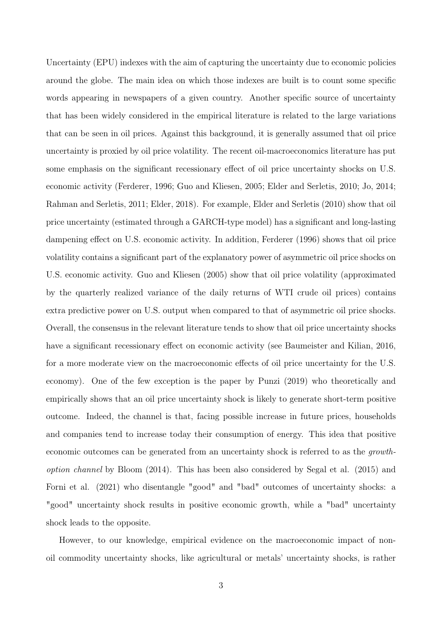Uncertainty (EPU) indexes with the aim of capturing the uncertainty due to economic policies around the globe. The main idea on which those indexes are built is to count some specific words appearing in newspapers of a given country. Another specific source of uncertainty that has been widely considered in the empirical literature is related to the large variations that can be seen in oil prices. Against this background, it is generally assumed that oil price uncertainty is proxied by oil price volatility. The recent oil-macroeconomics literature has put some emphasis on the significant recessionary effect of oil price uncertainty shocks on U.S. economic activity (Ferderer, 1996; Guo and Kliesen, 2005; Elder and Serletis, 2010; Jo, 2014; Rahman and Serletis, 2011; Elder, 2018). For example, Elder and Serletis (2010) show that oil price uncertainty (estimated through a GARCH-type model) has a significant and long-lasting dampening effect on U.S. economic activity. In addition, Ferderer (1996) shows that oil price volatility contains a significant part of the explanatory power of asymmetric oil price shocks on U.S. economic activity. Guo and Kliesen (2005) show that oil price volatility (approximated by the quarterly realized variance of the daily returns of WTI crude oil prices) contains extra predictive power on U.S. output when compared to that of asymmetric oil price shocks. Overall, the consensus in the relevant literature tends to show that oil price uncertainty shocks have a significant recessionary effect on economic activity (see Baumeister and Kilian, 2016, for a more moderate view on the macroeconomic effects of oil price uncertainty for the U.S. economy). One of the few exception is the paper by Punzi (2019) who theoretically and empirically shows that an oil price uncertainty shock is likely to generate short-term positive outcome. Indeed, the channel is that, facing possible increase in future prices, households and companies tend to increase today their consumption of energy. This idea that positive economic outcomes can be generated from an uncertainty shock is referred to as the growthoption channel by Bloom (2014). This has been also considered by Segal et al. (2015) and Forni et al. (2021) who disentangle "good" and "bad" outcomes of uncertainty shocks: a "good" uncertainty shock results in positive economic growth, while a "bad" uncertainty shock leads to the opposite.

However, to our knowledge, empirical evidence on the macroeconomic impact of nonoil commodity uncertainty shocks, like agricultural or metals' uncertainty shocks, is rather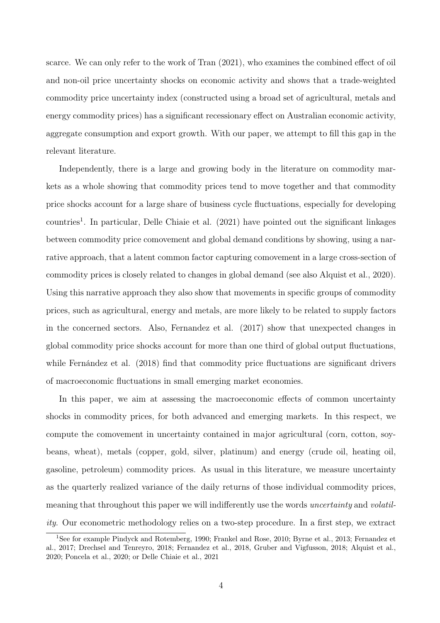scarce. We can only refer to the work of Tran (2021), who examines the combined effect of oil and non-oil price uncertainty shocks on economic activity and shows that a trade-weighted commodity price uncertainty index (constructed using a broad set of agricultural, metals and energy commodity prices) has a significant recessionary effect on Australian economic activity, aggregate consumption and export growth. With our paper, we attempt to fill this gap in the relevant literature.

Independently, there is a large and growing body in the literature on commodity markets as a whole showing that commodity prices tend to move together and that commodity price shocks account for a large share of business cycle fluctuations, especially for developing countries<sup>1</sup>. In particular, Delle Chiaie et al. (2021) have pointed out the significant linkages between commodity price comovement and global demand conditions by showing, using a narrative approach, that a latent common factor capturing comovement in a large cross-section of commodity prices is closely related to changes in global demand (see also Alquist et al., 2020). Using this narrative approach they also show that movements in specific groups of commodity prices, such as agricultural, energy and metals, are more likely to be related to supply factors in the concerned sectors. Also, Fernandez et al. (2017) show that unexpected changes in global commodity price shocks account for more than one third of global output fluctuations, while Fernández et al. (2018) find that commodity price fluctuations are significant drivers of macroeconomic fluctuations in small emerging market economies.

In this paper, we aim at assessing the macroeconomic effects of common uncertainty shocks in commodity prices, for both advanced and emerging markets. In this respect, we compute the comovement in uncertainty contained in major agricultural (corn, cotton, soybeans, wheat), metals (copper, gold, silver, platinum) and energy (crude oil, heating oil, gasoline, petroleum) commodity prices. As usual in this literature, we measure uncertainty as the quarterly realized variance of the daily returns of those individual commodity prices, meaning that throughout this paper we will indifferently use the words uncertainty and volatility. Our econometric methodology relies on a two-step procedure. In a first step, we extract

<sup>1</sup>See for example Pindyck and Rotemberg, 1990; Frankel and Rose, 2010; Byrne et al., 2013; Fernandez et al., 2017; Drechsel and Tenreyro, 2018; Fernandez et al., 2018, Gruber and Vigfusson, 2018; Alquist et al., 2020; Poncela et al., 2020; or Delle Chiaie et al., 2021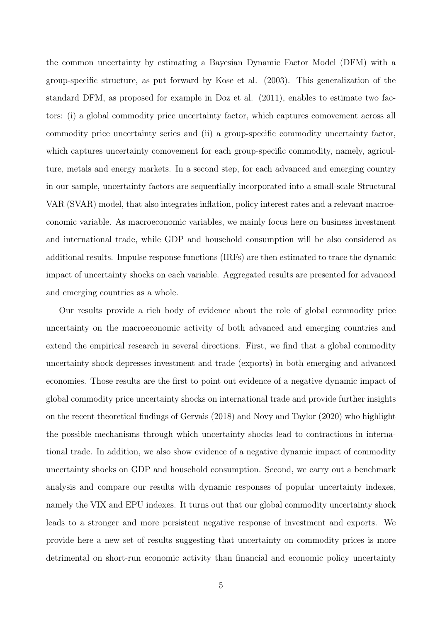the common uncertainty by estimating a Bayesian Dynamic Factor Model (DFM) with a group-specific structure, as put forward by Kose et al. (2003). This generalization of the standard DFM, as proposed for example in Doz et al. (2011), enables to estimate two factors: (i) a global commodity price uncertainty factor, which captures comovement across all commodity price uncertainty series and (ii) a group-specific commodity uncertainty factor, which captures uncertainty comovement for each group-specific commodity, namely, agriculture, metals and energy markets. In a second step, for each advanced and emerging country in our sample, uncertainty factors are sequentially incorporated into a small-scale Structural VAR (SVAR) model, that also integrates inflation, policy interest rates and a relevant macroeconomic variable. As macroeconomic variables, we mainly focus here on business investment and international trade, while GDP and household consumption will be also considered as additional results. Impulse response functions (IRFs) are then estimated to trace the dynamic impact of uncertainty shocks on each variable. Aggregated results are presented for advanced and emerging countries as a whole.

Our results provide a rich body of evidence about the role of global commodity price uncertainty on the macroeconomic activity of both advanced and emerging countries and extend the empirical research in several directions. First, we find that a global commodity uncertainty shock depresses investment and trade (exports) in both emerging and advanced economies. Those results are the first to point out evidence of a negative dynamic impact of global commodity price uncertainty shocks on international trade and provide further insights on the recent theoretical findings of Gervais (2018) and Novy and Taylor (2020) who highlight the possible mechanisms through which uncertainty shocks lead to contractions in international trade. In addition, we also show evidence of a negative dynamic impact of commodity uncertainty shocks on GDP and household consumption. Second, we carry out a benchmark analysis and compare our results with dynamic responses of popular uncertainty indexes, namely the VIX and EPU indexes. It turns out that our global commodity uncertainty shock leads to a stronger and more persistent negative response of investment and exports. We provide here a new set of results suggesting that uncertainty on commodity prices is more detrimental on short-run economic activity than financial and economic policy uncertainty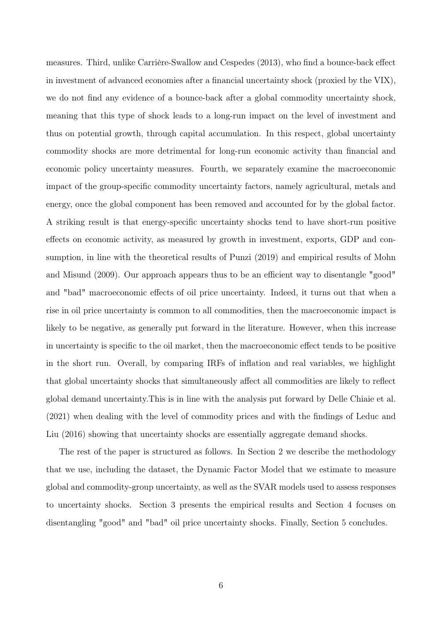measures. Third, unlike Carrière-Swallow and Cespedes (2013), who find a bounce-back effect in investment of advanced economies after a financial uncertainty shock (proxied by the VIX), we do not find any evidence of a bounce-back after a global commodity uncertainty shock, meaning that this type of shock leads to a long-run impact on the level of investment and thus on potential growth, through capital accumulation. In this respect, global uncertainty commodity shocks are more detrimental for long-run economic activity than financial and economic policy uncertainty measures. Fourth, we separately examine the macroeconomic impact of the group-specific commodity uncertainty factors, namely agricultural, metals and energy, once the global component has been removed and accounted for by the global factor. A striking result is that energy-specific uncertainty shocks tend to have short-run positive effects on economic activity, as measured by growth in investment, exports, GDP and consumption, in line with the theoretical results of Punzi (2019) and empirical results of Mohn and Misund (2009). Our approach appears thus to be an efficient way to disentangle "good" and "bad" macroeconomic effects of oil price uncertainty. Indeed, it turns out that when a rise in oil price uncertainty is common to all commodities, then the macroeconomic impact is likely to be negative, as generally put forward in the literature. However, when this increase in uncertainty is specific to the oil market, then the macroeconomic effect tends to be positive in the short run. Overall, by comparing IRFs of inflation and real variables, we highlight that global uncertainty shocks that simultaneously affect all commodities are likely to reflect global demand uncertainty.This is in line with the analysis put forward by Delle Chiaie et al. (2021) when dealing with the level of commodity prices and with the findings of Leduc and Liu (2016) showing that uncertainty shocks are essentially aggregate demand shocks.

The rest of the paper is structured as follows. In Section 2 we describe the methodology that we use, including the dataset, the Dynamic Factor Model that we estimate to measure global and commodity-group uncertainty, as well as the SVAR models used to assess responses to uncertainty shocks. Section 3 presents the empirical results and Section 4 focuses on disentangling "good" and "bad" oil price uncertainty shocks. Finally, Section 5 concludes.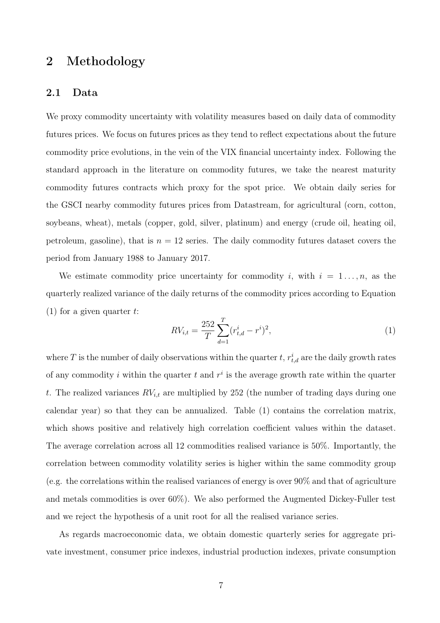## 2 Methodology

### 2.1 Data

We proxy commodity uncertainty with volatility measures based on daily data of commodity futures prices. We focus on futures prices as they tend to reflect expectations about the future commodity price evolutions, in the vein of the VIX financial uncertainty index. Following the standard approach in the literature on commodity futures, we take the nearest maturity commodity futures contracts which proxy for the spot price. We obtain daily series for the GSCI nearby commodity futures prices from Datastream, for agricultural (corn, cotton, soybeans, wheat), metals (copper, gold, silver, platinum) and energy (crude oil, heating oil, petroleum, gasoline), that is  $n = 12$  series. The daily commodity futures dataset covers the period from January 1988 to January 2017.

We estimate commodity price uncertainty for commodity i, with  $i = 1 \ldots, n$ , as the quarterly realized variance of the daily returns of the commodity prices according to Equation (1) for a given quarter  $t$ :

$$
RV_{i,t} = \frac{252}{T} \sum_{d=1}^{T} (r_{t,d}^i - r^i)^2,
$$
\n(1)

where T is the number of daily observations within the quarter  $t, r_{t,d}^i$  are the daily growth rates of any commodity i within the quarter  $t$  and  $r^i$  is the average growth rate within the quarter t. The realized variances  $RV_{i,t}$  are multiplied by 252 (the number of trading days during one calendar year) so that they can be annualized. Table (1) contains the correlation matrix, which shows positive and relatively high correlation coefficient values within the dataset. The average correlation across all 12 commodities realised variance is 50%. Importantly, the correlation between commodity volatility series is higher within the same commodity group (e.g. the correlations within the realised variances of energy is over 90% and that of agriculture and metals commodities is over 60%). We also performed the Augmented Dickey-Fuller test and we reject the hypothesis of a unit root for all the realised variance series.

As regards macroeconomic data, we obtain domestic quarterly series for aggregate private investment, consumer price indexes, industrial production indexes, private consumption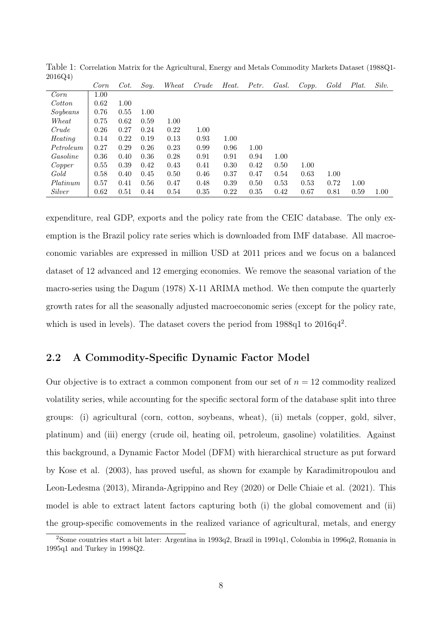| $0 + 0 - C + 1$ | Corn | Cot. | Soy. | Wheat | Crude | Heat. | Petr. | Gasl. | Copp. | Gold | Plat. | Silv. |
|-----------------|------|------|------|-------|-------|-------|-------|-------|-------|------|-------|-------|
| Corn            | 1.00 |      |      |       |       |       |       |       |       |      |       |       |
| Cotton          | 0.62 | 1.00 |      |       |       |       |       |       |       |      |       |       |
| Soybeans        | 0.76 | 0.55 | 1.00 |       |       |       |       |       |       |      |       |       |
| Wheat           | 0.75 | 0.62 | 0.59 | 1.00  |       |       |       |       |       |      |       |       |
| Crude           | 0.26 | 0.27 | 0.24 | 0.22  | 1.00  |       |       |       |       |      |       |       |
| Heating         | 0.14 | 0.22 | 0.19 | 0.13  | 0.93  | 1.00  |       |       |       |      |       |       |
| Petroleum       | 0.27 | 0.29 | 0.26 | 0.23  | 0.99  | 0.96  | 1.00  |       |       |      |       |       |
| Gasoline        | 0.36 | 0.40 | 0.36 | 0.28  | 0.91  | 0.91  | 0.94  | 1.00  |       |      |       |       |
| Copper          | 0.55 | 0.39 | 0.42 | 0.43  | 0.41  | 0.30  | 0.42  | 0.50  | 1.00  |      |       |       |
| Gold            | 0.58 | 0.40 | 0.45 | 0.50  | 0.46  | 0.37  | 0.47  | 0.54  | 0.63  | 1.00 |       |       |
| Platinum        | 0.57 | 0.41 | 0.56 | 0.47  | 0.48  | 0.39  | 0.50  | 0.53  | 0.53  | 0.72 | 1.00  |       |
| Silver          | 0.62 | 0.51 | 0.44 | 0.54  | 0.35  | 0.22  | 0.35  | 0.42  | 0.67  | 0.81 | 0.59  | 1.00  |

Table 1: Correlation Matrix for the Agricultural, Energy and Metals Commodity Markets Dataset (1988Q1- 2016Q4)

expenditure, real GDP, exports and the policy rate from the CEIC database. The only exemption is the Brazil policy rate series which is downloaded from IMF database. All macroeconomic variables are expressed in million USD at 2011 prices and we focus on a balanced dataset of 12 advanced and 12 emerging economies. We remove the seasonal variation of the macro-series using the Dagum (1978) X-11 ARIMA method. We then compute the quarterly growth rates for all the seasonally adjusted macroeconomic series (except for the policy rate, which is used in levels). The dataset covers the period from  $1988q1$  to  $2016q4^2$ .

### 2.2 A Commodity-Specific Dynamic Factor Model

Our objective is to extract a common component from our set of  $n = 12$  commodity realized volatility series, while accounting for the specific sectoral form of the database split into three groups: (i) agricultural (corn, cotton, soybeans, wheat), (ii) metals (copper, gold, silver, platinum) and (iii) energy (crude oil, heating oil, petroleum, gasoline) volatilities. Against this background, a Dynamic Factor Model (DFM) with hierarchical structure as put forward by Kose et al. (2003), has proved useful, as shown for example by Karadimitropoulou and Leon-Ledesma (2013), Miranda-Agrippino and Rey (2020) or Delle Chiaie et al. (2021). This model is able to extract latent factors capturing both (i) the global comovement and (ii) the group-specific comovements in the realized variance of agricultural, metals, and energy

<sup>2</sup>Some countries start a bit later: Argentina in 1993q2, Brazil in 1991q1, Colombia in 1996q2, Romania in 1995q1 and Turkey in 1998Q2.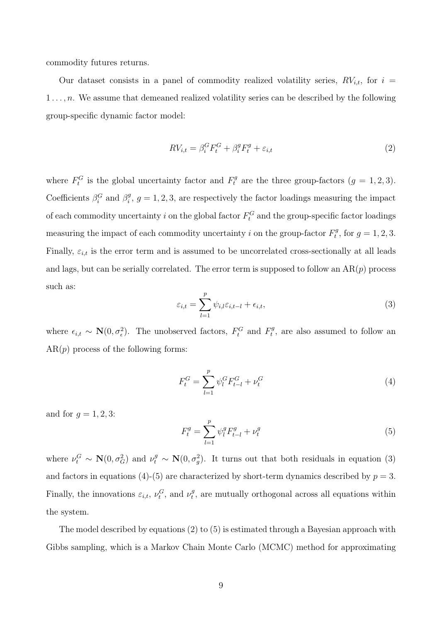commodity futures returns.

Our dataset consists in a panel of commodity realized volatility series,  $RV_{i,t}$ , for  $i =$  $1 \ldots, n$ . We assume that demeaned realized volatility series can be described by the following group-specific dynamic factor model:

$$
RV_{i,t} = \beta_i^G F_t^G + \beta_i^g F_t^g + \varepsilon_{i,t}
$$
\n<sup>(2)</sup>

where  $F_t^G$  is the global uncertainty factor and  $F_t^g$  are the three group-factors  $(g = 1, 2, 3)$ . Coefficients  $\beta_i^G$  and  $\beta_i^g$  $i<sup>g</sup>$ ,  $g = 1, 2, 3$ , are respectively the factor loadings measuring the impact of each commodity uncertainty i on the global factor  $F_t^G$  and the group-specific factor loadings measuring the impact of each commodity uncertainty i on the group-factor  $F_t^g$  $t^g$ , for  $g = 1, 2, 3$ . Finally,  $\varepsilon_{i,t}$  is the error term and is assumed to be uncorrelated cross-sectionally at all leads and lags, but can be serially correlated. The error term is supposed to follow an  $AR(p)$  process such as:

$$
\varepsilon_{i,t} = \sum_{l=1}^{p} \psi_{i,l} \varepsilon_{i,t-l} + \epsilon_{i,t},
$$
\n(3)

where  $\epsilon_{i,t} \sim \mathbf{N}(0, \sigma_{\epsilon}^2)$ . The unobserved factors,  $F_t^G$  and  $F_t^g$  $t<sub>t</sub><sup>lg</sup>$ , are also assumed to follow an  $AR(p)$  process of the following forms:

$$
F_t^G = \sum_{l=1}^p \psi_l^G F_{t-l}^G + \nu_t^G
$$
\n(4)

and for  $g = 1, 2, 3$ :

$$
F_t^g = \sum_{l=1}^p \psi_l^g F_{t-l}^g + \nu_t^g \tag{5}
$$

where  $\nu_t^G \sim \mathbf{N}(0, \sigma_G^2)$  and  $\nu_t^g \sim \mathbf{N}(0, \sigma_g^2)$ . It turns out that both residuals in equation (3) and factors in equations (4)-(5) are characterized by short-term dynamics described by  $p = 3$ . Finally, the innovations  $\varepsilon_{i,t}$ ,  $\nu_t^G$ , and  $\nu_t^g$  $t_t^g$ , are mutually orthogonal across all equations within the system.

The model described by equations (2) to (5) is estimated through a Bayesian approach with Gibbs sampling, which is a Markov Chain Monte Carlo (MCMC) method for approximating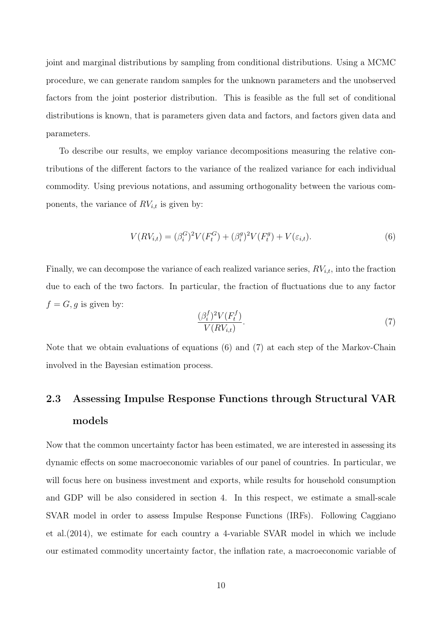joint and marginal distributions by sampling from conditional distributions. Using a MCMC procedure, we can generate random samples for the unknown parameters and the unobserved factors from the joint posterior distribution. This is feasible as the full set of conditional distributions is known, that is parameters given data and factors, and factors given data and parameters.

To describe our results, we employ variance decompositions measuring the relative contributions of the different factors to the variance of the realized variance for each individual commodity. Using previous notations, and assuming orthogonality between the various components, the variance of  $RV_{i,t}$  is given by:

$$
V(RV_{i,t}) = (\beta_i^G)^2 V(F_t^G) + (\beta_i^g)^2 V(F_t^g) + V(\varepsilon_{i,t}).
$$
\n(6)

Finally, we can decompose the variance of each realized variance series,  $RV_{i,t}$ , into the fraction due to each of the two factors. In particular, the fraction of fluctuations due to any factor  $f = G, g$  is given by:

$$
\frac{(\beta_i^f)^2 V(F_t^f)}{V(RV_{i,t})}.
$$
\n
$$
(7)
$$

Note that we obtain evaluations of equations (6) and (7) at each step of the Markov-Chain involved in the Bayesian estimation process.

# 2.3 Assessing Impulse Response Functions through Structural VAR models

Now that the common uncertainty factor has been estimated, we are interested in assessing its dynamic effects on some macroeconomic variables of our panel of countries. In particular, we will focus here on business investment and exports, while results for household consumption and GDP will be also considered in section 4. In this respect, we estimate a small-scale SVAR model in order to assess Impulse Response Functions (IRFs). Following Caggiano et al.(2014), we estimate for each country a 4-variable SVAR model in which we include our estimated commodity uncertainty factor, the inflation rate, a macroeconomic variable of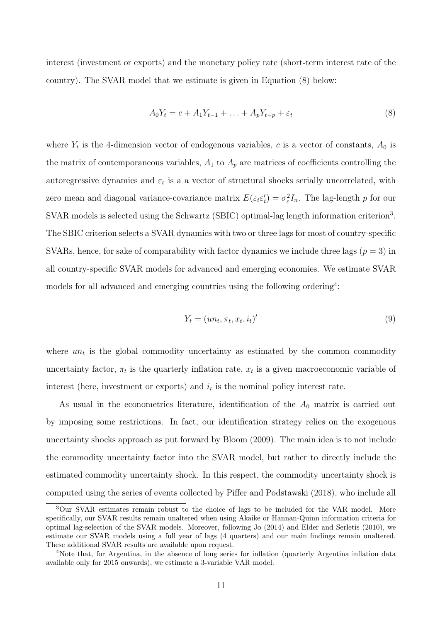interest (investment or exports) and the monetary policy rate (short-term interest rate of the country). The SVAR model that we estimate is given in Equation (8) below:

$$
A_0 Y_t = c + A_1 Y_{t-1} + \ldots + A_p Y_{t-p} + \varepsilon_t \tag{8}
$$

where  $Y_t$  is the 4-dimension vector of endogenous variables, c is a vector of constants,  $A_0$  is the matrix of contemporaneous variables,  $A_1$  to  $A_p$  are matrices of coefficients controlling the autoregressive dynamics and  $\varepsilon_t$  is a a vector of structural shocks serially uncorrelated, with zero mean and diagonal variance-covariance matrix  $E(\varepsilon_t \varepsilon_t)$  $t'_t$ ) =  $\sigma_{\varepsilon}^2$  $\frac{2}{\varepsilon}I_n$ . The lag-length p for our SVAR models is selected using the Schwartz (SBIC) optimal-lag length information criterion<sup>3</sup>. The SBIC criterion selects a SVAR dynamics with two or three lags for most of country-specific SVARs, hence, for sake of comparability with factor dynamics we include three lags  $(p = 3)$  in all country-specific SVAR models for advanced and emerging economies. We estimate SVAR models for all advanced and emerging countries using the following ordering<sup>4</sup>:

$$
Y_t = (un_t, \pi_t, x_t, i_t)'
$$
\n
$$
(9)
$$

where  $un_t$  is the global commodity uncertainty as estimated by the common commodity uncertainty factor,  $\pi_t$  is the quarterly inflation rate,  $x_t$  is a given macroeconomic variable of interest (here, investment or exports) and  $i_t$  is the nominal policy interest rate.

As usual in the econometrics literature, identification of the  $A_0$  matrix is carried out by imposing some restrictions. In fact, our identification strategy relies on the exogenous uncertainty shocks approach as put forward by Bloom (2009). The main idea is to not include the commodity uncertainty factor into the SVAR model, but rather to directly include the estimated commodity uncertainty shock. In this respect, the commodity uncertainty shock is computed using the series of events collected by Piffer and Podstawski (2018), who include all

<sup>3</sup>Our SVAR estimates remain robust to the choice of lags to be included for the VAR model. More specifically, our SVAR results remain unaltered when using Akaike or Hannan-Quinn information criteria for optimal lag-selection of the SVAR models. Moreover, following Jo (2014) and Elder and Serletis (2010), we estimate our SVAR models using a full year of lags (4 quarters) and our main findings remain unaltered. These additional SVAR results are available upon request.

<sup>&</sup>lt;sup>4</sup>Note that, for Argentina, in the absence of long series for inflation (quarterly Argentina inflation data available only for 2015 onwards), we estimate a 3-variable VAR model.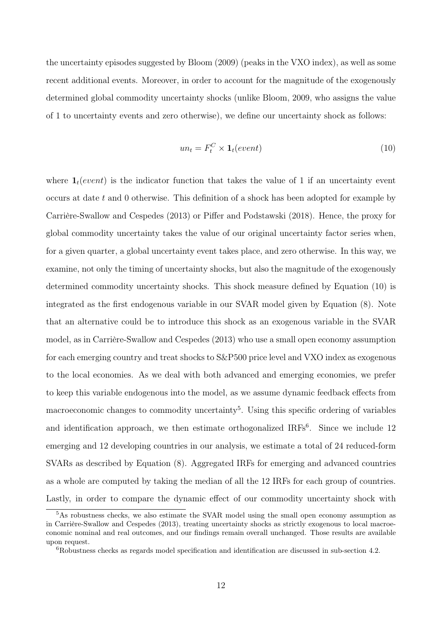the uncertainty episodes suggested by Bloom (2009) (peaks in the VXO index), as well as some recent additional events. Moreover, in order to account for the magnitude of the exogenously determined global commodity uncertainty shocks (unlike Bloom, 2009, who assigns the value of 1 to uncertainty events and zero otherwise), we define our uncertainty shock as follows:

$$
un_t = F_t^C \times \mathbf{1}_t(event) \tag{10}
$$

where  $\mathbf{1}_t(event)$  is the indicator function that takes the value of 1 if an uncertainty event occurs at date t and 0 otherwise. This definition of a shock has been adopted for example by Carrière-Swallow and Cespedes (2013) or Piffer and Podstawski (2018). Hence, the proxy for global commodity uncertainty takes the value of our original uncertainty factor series when, for a given quarter, a global uncertainty event takes place, and zero otherwise. In this way, we examine, not only the timing of uncertainty shocks, but also the magnitude of the exogenously determined commodity uncertainty shocks. This shock measure defined by Equation (10) is integrated as the first endogenous variable in our SVAR model given by Equation (8). Note that an alternative could be to introduce this shock as an exogenous variable in the SVAR model, as in Carrière-Swallow and Cespedes (2013) who use a small open economy assumption for each emerging country and treat shocks to S&P500 price level and VXO index as exogenous to the local economies. As we deal with both advanced and emerging economies, we prefer to keep this variable endogenous into the model, as we assume dynamic feedback effects from macroeconomic changes to commodity uncertainty<sup>5</sup>. Using this specific ordering of variables and identification approach, we then estimate orthogonalized  $IRFs<sup>6</sup>$ . Since we include 12 emerging and 12 developing countries in our analysis, we estimate a total of 24 reduced-form SVARs as described by Equation (8). Aggregated IRFs for emerging and advanced countries as a whole are computed by taking the median of all the 12 IRFs for each group of countries. Lastly, in order to compare the dynamic effect of our commodity uncertainty shock with

<sup>5</sup>As robustness checks, we also estimate the SVAR model using the small open economy assumption as in Carrière-Swallow and Cespedes (2013), treating uncertainty shocks as strictly exogenous to local macroeconomic nominal and real outcomes, and our findings remain overall unchanged. Those results are available upon request.

<sup>6</sup>Robustness checks as regards model specification and identification are discussed in sub-section 4.2.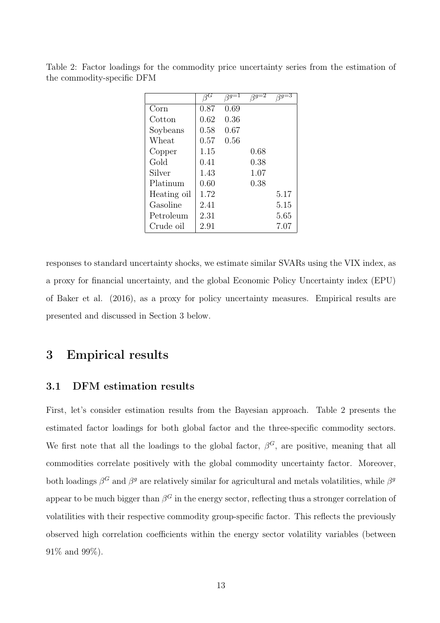|             | зG   | $qg=1$ | $\overline{qg=2}$ | $\beta g = 3$ |
|-------------|------|--------|-------------------|---------------|
| Corn        | 0.87 | 0.69   |                   |               |
| Cotton      | 0.62 | 0.36   |                   |               |
| Soybeans    | 0.58 | 0.67   |                   |               |
| Wheat       | 0.57 | 0.56   |                   |               |
| Copper      | 1.15 |        | 0.68              |               |
| Gold        | 0.41 |        | 0.38              |               |
| Silver      | 1.43 |        | 1.07              |               |
| Platinum    | 0.60 |        | 0.38              |               |
| Heating oil | 1.72 |        |                   | 5.17          |
| Gasoline    | 2.41 |        |                   | 5.15          |
| Petroleum   | 2.31 |        |                   | 5.65          |
| Crude oil   | 2.91 |        |                   | 7.07          |

Table 2: Factor loadings for the commodity price uncertainty series from the estimation of the commodity-specific DFM

responses to standard uncertainty shocks, we estimate similar SVARs using the VIX index, as a proxy for financial uncertainty, and the global Economic Policy Uncertainty index (EPU) of Baker et al. (2016), as a proxy for policy uncertainty measures. Empirical results are presented and discussed in Section 3 below.

## 3 Empirical results

### 3.1 DFM estimation results

First, let's consider estimation results from the Bayesian approach. Table 2 presents the estimated factor loadings for both global factor and the three-specific commodity sectors. We first note that all the loadings to the global factor,  $\beta^G$ , are positive, meaning that all commodities correlate positively with the global commodity uncertainty factor. Moreover, both loadings  $\beta^G$  and  $\beta^g$  are relatively similar for agricultural and metals volatilities, while  $\beta^g$ appear to be much bigger than  $\beta^G$  in the energy sector, reflecting thus a stronger correlation of volatilities with their respective commodity group-specific factor. This reflects the previously observed high correlation coefficients within the energy sector volatility variables (between 91% and 99%).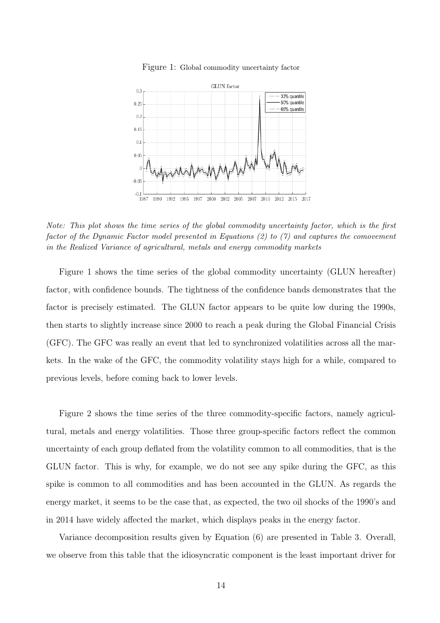

Figure 1: Global commodity uncertainty factor

*Note: This plot shows the time series of the global commodity uncertainty factor, which is the first factor of the Dynamic Factor model presented in Equations (2) to (7) and captures the comovement in the Realized Variance of agricultural, metals and energy commodity markets*

Figure 1 shows the time series of the global commodity uncertainty (GLUN hereafter) factor, with confidence bounds. The tightness of the confidence bands demonstrates that the factor is precisely estimated. The GLUN factor appears to be quite low during the 1990s, then starts to slightly increase since 2000 to reach a peak during the Global Financial Crisis (GFC). The GFC was really an event that led to synchronized volatilities across all the markets. In the wake of the GFC, the commodity volatility stays high for a while, compared to previous levels, before coming back to lower levels.

Figure 2 shows the time series of the three commodity-specific factors, namely agricultural, metals and energy volatilities. Those three group-specific factors reflect the common uncertainty of each group deflated from the volatility common to all commodities, that is the GLUN factor. This is why, for example, we do not see any spike during the GFC, as this spike is common to all commodities and has been accounted in the GLUN. As regards the energy market, it seems to be the case that, as expected, the two oil shocks of the 1990's and in 2014 have widely affected the market, which displays peaks in the energy factor.

Variance decomposition results given by Equation (6) are presented in Table 3. Overall, we observe from this table that the idiosyncratic component is the least important driver for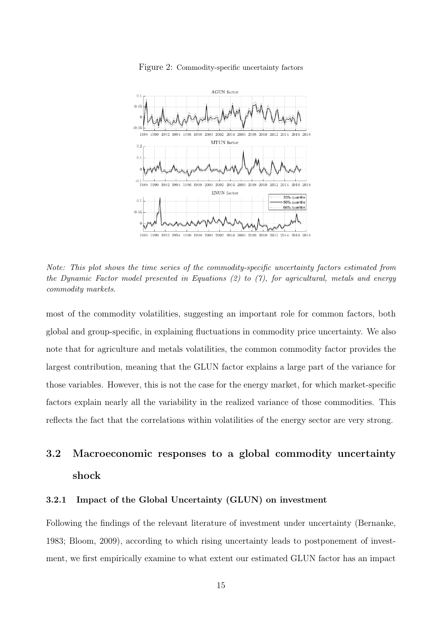

Figure 2: Commodity-specific uncertainty factors

1988 1990 1992 1994 1996 1998 2000 2002 2004 2006 2008 2010 2012 2014 2016 2018

*Note: This plot shows the time series of the commodity-specific uncertainty factors estimated from the Dynamic Factor model presented in Equations (2) to (7), for agricultural, metals and energy commodity markets.*

most of the commodity volatilities, suggesting an important role for common factors, both global and group-specific, in explaining fluctuations in commodity price uncertainty. We also note that for agriculture and metals volatilities, the common commodity factor provides the largest contribution, meaning that the GLUN factor explains a large part of the variance for those variables. However, this is not the case for the energy market, for which market-specific factors explain nearly all the variability in the realized variance of those commodities. This reflects the fact that the correlations within volatilities of the energy sector are very strong.

# 3.2 Macroeconomic responses to a global commodity uncertainty shock

#### 3.2.1 Impact of the Global Uncertainty (GLUN) on investment

Following the findings of the relevant literature of investment under uncertainty (Bernanke, 1983; Bloom, 2009), according to which rising uncertainty leads to postponement of investment, we first empirically examine to what extent our estimated GLUN factor has an impact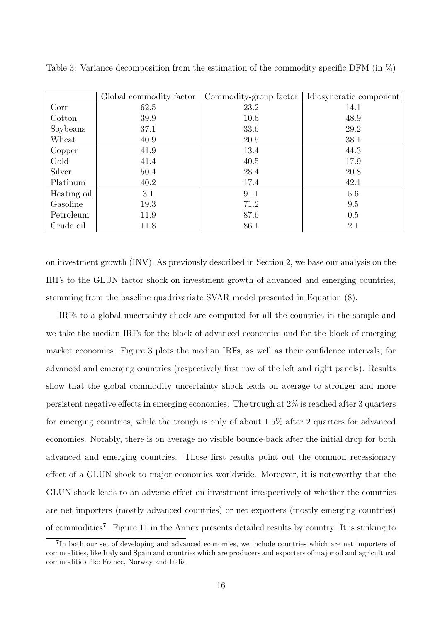|             | Global commodity factor | Commodity-group factor | Idiosyncratic component |
|-------------|-------------------------|------------------------|-------------------------|
| Corn        | 62.5                    | 23.2                   | 14.1                    |
| Cotton      | 39.9                    | 10.6                   | 48.9                    |
| Soybeans    | 37.1                    | 33.6                   | 29.2                    |
| Wheat       | 40.9                    | 20.5                   | 38.1                    |
| Copper      | 41.9                    | 13.4                   | 44.3                    |
| Gold        | 41.4                    | 40.5                   | 17.9                    |
| Silver      | 50.4                    | 28.4                   | 20.8                    |
| Platinum    | 40.2                    | 17.4                   | 42.1                    |
| Heating oil | 3.1                     | 91.1                   | 5.6                     |
| Gasoline    | 19.3                    | 71.2                   | 9.5                     |
| Petroleum   | 11.9                    | 87.6                   | 0.5                     |
| Crude oil   | 11.8                    | 86.1                   | 2.1                     |

Table 3: Variance decomposition from the estimation of the commodity specific DFM (in  $\%$ )

on investment growth (INV). As previously described in Section 2, we base our analysis on the IRFs to the GLUN factor shock on investment growth of advanced and emerging countries, stemming from the baseline quadrivariate SVAR model presented in Equation (8).

IRFs to a global uncertainty shock are computed for all the countries in the sample and we take the median IRFs for the block of advanced economies and for the block of emerging market economies. Figure 3 plots the median IRFs, as well as their confidence intervals, for advanced and emerging countries (respectively first row of the left and right panels). Results show that the global commodity uncertainty shock leads on average to stronger and more persistent negative effects in emerging economies. The trough at 2% is reached after 3 quarters for emerging countries, while the trough is only of about 1.5% after 2 quarters for advanced economies. Notably, there is on average no visible bounce-back after the initial drop for both advanced and emerging countries. Those first results point out the common recessionary effect of a GLUN shock to major economies worldwide. Moreover, it is noteworthy that the GLUN shock leads to an adverse effect on investment irrespectively of whether the countries are net importers (mostly advanced countries) or net exporters (mostly emerging countries) of commodities<sup>7</sup>. Figure 11 in the Annex presents detailed results by country. It is striking to

<sup>7</sup> In both our set of developing and advanced economies, we include countries which are net importers of commodities, like Italy and Spain and countries which are producers and exporters of major oil and agricultural commodities like France, Norway and India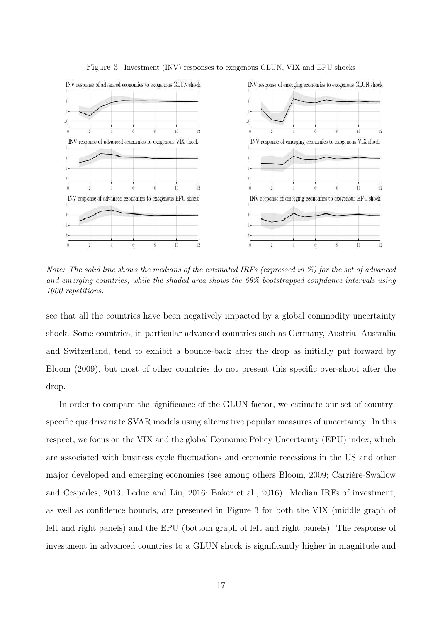

Figure 3: Investment (INV) responses to exogenous GLUN, VIX and EPU shocks

*Note: The solid line shows the medians of the estimated IRFs (expressed in %) for the set of advanced and emerging countries, while the shaded area shows the 68% bootstrapped confidence intervals using 1000 repetitions.*

see that all the countries have been negatively impacted by a global commodity uncertainty shock. Some countries, in particular advanced countries such as Germany, Austria, Australia and Switzerland, tend to exhibit a bounce-back after the drop as initially put forward by Bloom (2009), but most of other countries do not present this specific over-shoot after the drop.

In order to compare the significance of the GLUN factor, we estimate our set of countryspecific quadrivariate SVAR models using alternative popular measures of uncertainty. In this respect, we focus on the VIX and the global Economic Policy Uncertainty (EPU) index, which are associated with business cycle fluctuations and economic recessions in the US and other major developed and emerging economies (see among others Bloom, 2009; Carrière-Swallow and Cespedes, 2013; Leduc and Liu, 2016; Baker et al., 2016). Median IRFs of investment, as well as confidence bounds, are presented in Figure 3 for both the VIX (middle graph of left and right panels) and the EPU (bottom graph of left and right panels). The response of investment in advanced countries to a GLUN shock is significantly higher in magnitude and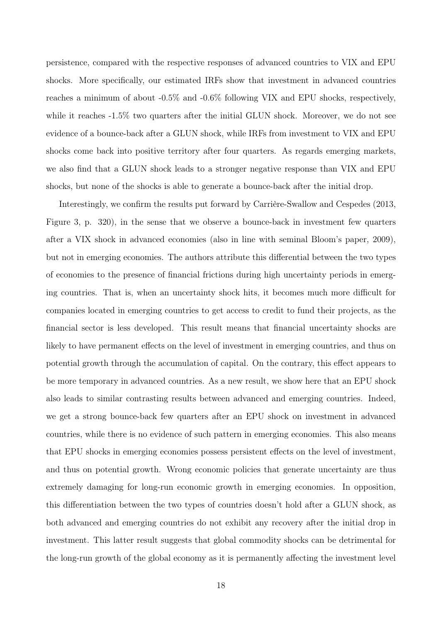persistence, compared with the respective responses of advanced countries to VIX and EPU shocks. More specifically, our estimated IRFs show that investment in advanced countries reaches a minimum of about -0.5% and -0.6% following VIX and EPU shocks, respectively, while it reaches -1.5% two quarters after the initial GLUN shock. Moreover, we do not see evidence of a bounce-back after a GLUN shock, while IRFs from investment to VIX and EPU shocks come back into positive territory after four quarters. As regards emerging markets, we also find that a GLUN shock leads to a stronger negative response than VIX and EPU shocks, but none of the shocks is able to generate a bounce-back after the initial drop.

Interestingly, we confirm the results put forward by Carrière-Swallow and Cespedes (2013, Figure 3, p. 320), in the sense that we observe a bounce-back in investment few quarters after a VIX shock in advanced economies (also in line with seminal Bloom's paper, 2009), but not in emerging economies. The authors attribute this differential between the two types of economies to the presence of financial frictions during high uncertainty periods in emerging countries. That is, when an uncertainty shock hits, it becomes much more difficult for companies located in emerging countries to get access to credit to fund their projects, as the financial sector is less developed. This result means that financial uncertainty shocks are likely to have permanent effects on the level of investment in emerging countries, and thus on potential growth through the accumulation of capital. On the contrary, this effect appears to be more temporary in advanced countries. As a new result, we show here that an EPU shock also leads to similar contrasting results between advanced and emerging countries. Indeed, we get a strong bounce-back few quarters after an EPU shock on investment in advanced countries, while there is no evidence of such pattern in emerging economies. This also means that EPU shocks in emerging economies possess persistent effects on the level of investment, and thus on potential growth. Wrong economic policies that generate uncertainty are thus extremely damaging for long-run economic growth in emerging economies. In opposition, this differentiation between the two types of countries doesn't hold after a GLUN shock, as both advanced and emerging countries do not exhibit any recovery after the initial drop in investment. This latter result suggests that global commodity shocks can be detrimental for the long-run growth of the global economy as it is permanently affecting the investment level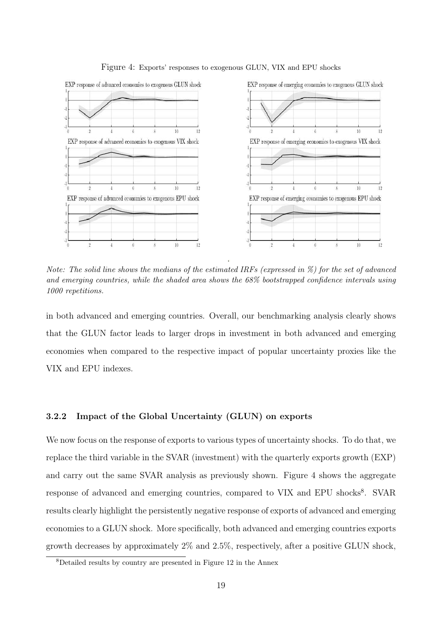

Figure 4: Exports' responses to exogenous GLUN, VIX and EPU shocks

*Note: The solid line shows the medians of the estimated IRFs (expressed in %) for the set of advanced and emerging countries, while the shaded area shows the 68% bootstrapped confidence intervals using 1000 repetitions.*

in both advanced and emerging countries. Overall, our benchmarking analysis clearly shows that the GLUN factor leads to larger drops in investment in both advanced and emerging economies when compared to the respective impact of popular uncertainty proxies like the VIX and EPU indexes.

#### 3.2.2 Impact of the Global Uncertainty (GLUN) on exports

We now focus on the response of exports to various types of uncertainty shocks. To do that, we replace the third variable in the SVAR (investment) with the quarterly exports growth (EXP) and carry out the same SVAR analysis as previously shown. Figure 4 shows the aggregate response of advanced and emerging countries, compared to VIX and EPU shocks<sup>8</sup>. SVAR results clearly highlight the persistently negative response of exports of advanced and emerging economies to a GLUN shock. More specifically, both advanced and emerging countries exports growth decreases by approximately 2% and 2.5%, respectively, after a positive GLUN shock,

<sup>8</sup>Detailed results by country are presented in Figure 12 in the Annex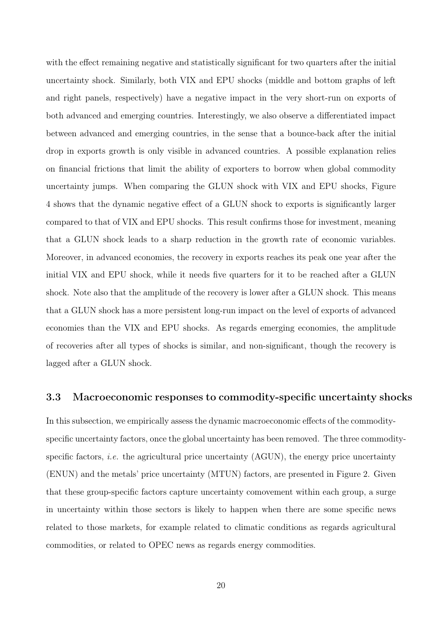with the effect remaining negative and statistically significant for two quarters after the initial uncertainty shock. Similarly, both VIX and EPU shocks (middle and bottom graphs of left and right panels, respectively) have a negative impact in the very short-run on exports of both advanced and emerging countries. Interestingly, we also observe a differentiated impact between advanced and emerging countries, in the sense that a bounce-back after the initial drop in exports growth is only visible in advanced countries. A possible explanation relies on financial frictions that limit the ability of exporters to borrow when global commodity uncertainty jumps. When comparing the GLUN shock with VIX and EPU shocks, Figure 4 shows that the dynamic negative effect of a GLUN shock to exports is significantly larger compared to that of VIX and EPU shocks. This result confirms those for investment, meaning that a GLUN shock leads to a sharp reduction in the growth rate of economic variables. Moreover, in advanced economies, the recovery in exports reaches its peak one year after the initial VIX and EPU shock, while it needs five quarters for it to be reached after a GLUN shock. Note also that the amplitude of the recovery is lower after a GLUN shock. This means that a GLUN shock has a more persistent long-run impact on the level of exports of advanced economies than the VIX and EPU shocks. As regards emerging economies, the amplitude of recoveries after all types of shocks is similar, and non-significant, though the recovery is lagged after a GLUN shock.

#### 3.3 Macroeconomic responses to commodity-specific uncertainty shocks

In this subsection, we empirically assess the dynamic macroeconomic effects of the commodityspecific uncertainty factors, once the global uncertainty has been removed. The three commodityspecific factors, *i.e.* the agricultural price uncertainty (AGUN), the energy price uncertainty (ENUN) and the metals' price uncertainty (MTUN) factors, are presented in Figure 2. Given that these group-specific factors capture uncertainty comovement within each group, a surge in uncertainty within those sectors is likely to happen when there are some specific news related to those markets, for example related to climatic conditions as regards agricultural commodities, or related to OPEC news as regards energy commodities.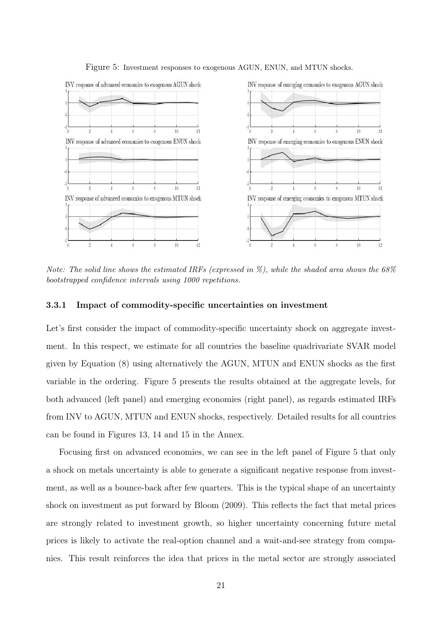

Figure 5: Investment responses to exogenous AGUN, ENUN, and MTUN shocks.

*Note: The solid line shows the estimated IRFs (expressed in %), while the shaded area shows the 68% bootstrapped confidence intervals using 1000 repetitions.*

#### 3.3.1 Impact of commodity-specific uncertainties on investment

Let's first consider the impact of commodity-specific uncertainty shock on aggregate investment. In this respect, we estimate for all countries the baseline quadrivariate SVAR model given by Equation (8) using alternatively the AGUN, MTUN and ENUN shocks as the first variable in the ordering. Figure 5 presents the results obtained at the aggregate levels, for both advanced (left panel) and emerging economies (right panel), as regards estimated IRFs from INV to AGUN, MTUN and ENUN shocks, respectively. Detailed results for all countries can be found in Figures 13, 14 and 15 in the Annex.

Focusing first on advanced economies, we can see in the left panel of Figure 5 that only a shock on metals uncertainty is able to generate a significant negative response from investment, as well as a bounce-back after few quarters. This is the typical shape of an uncertainty shock on investment as put forward by Bloom (2009). This reflects the fact that metal prices are strongly related to investment growth, so higher uncertainty concerning future metal prices is likely to activate the real-option channel and a wait-and-see strategy from companies. This result reinforces the idea that prices in the metal sector are strongly associated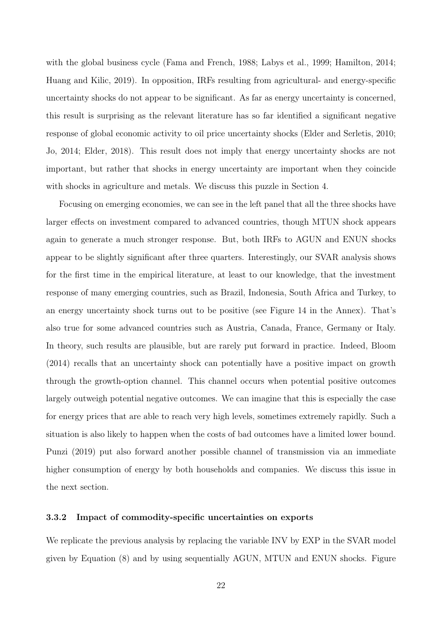with the global business cycle (Fama and French, 1988; Labys et al., 1999; Hamilton, 2014; Huang and Kilic, 2019). In opposition, IRFs resulting from agricultural- and energy-specific uncertainty shocks do not appear to be significant. As far as energy uncertainty is concerned, this result is surprising as the relevant literature has so far identified a significant negative response of global economic activity to oil price uncertainty shocks (Elder and Serletis, 2010; Jo, 2014; Elder, 2018). This result does not imply that energy uncertainty shocks are not important, but rather that shocks in energy uncertainty are important when they coincide with shocks in agriculture and metals. We discuss this puzzle in Section 4.

Focusing on emerging economies, we can see in the left panel that all the three shocks have larger effects on investment compared to advanced countries, though MTUN shock appears again to generate a much stronger response. But, both IRFs to AGUN and ENUN shocks appear to be slightly significant after three quarters. Interestingly, our SVAR analysis shows for the first time in the empirical literature, at least to our knowledge, that the investment response of many emerging countries, such as Brazil, Indonesia, South Africa and Turkey, to an energy uncertainty shock turns out to be positive (see Figure 14 in the Annex). That's also true for some advanced countries such as Austria, Canada, France, Germany or Italy. In theory, such results are plausible, but are rarely put forward in practice. Indeed, Bloom (2014) recalls that an uncertainty shock can potentially have a positive impact on growth through the growth-option channel. This channel occurs when potential positive outcomes largely outweigh potential negative outcomes. We can imagine that this is especially the case for energy prices that are able to reach very high levels, sometimes extremely rapidly. Such a situation is also likely to happen when the costs of bad outcomes have a limited lower bound. Punzi (2019) put also forward another possible channel of transmission via an immediate higher consumption of energy by both households and companies. We discuss this issue in the next section.

#### 3.3.2 Impact of commodity-specific uncertainties on exports

We replicate the previous analysis by replacing the variable INV by EXP in the SVAR model given by Equation (8) and by using sequentially AGUN, MTUN and ENUN shocks. Figure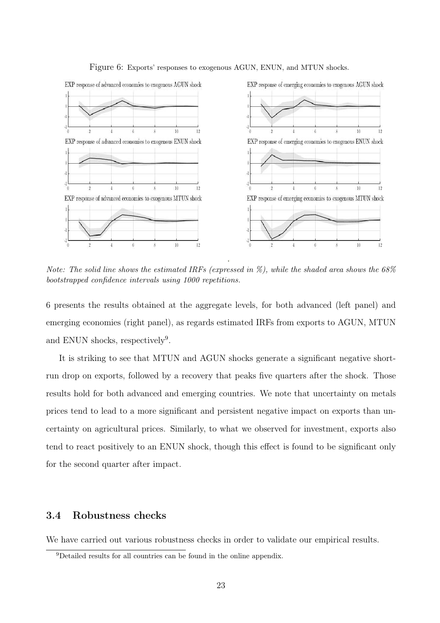

Figure 6: Exports' responses to exogenous AGUN, ENUN, and MTUN shocks.

*Note: The solid line shows the estimated IRFs (expressed in %), while the shaded area shows the 68% bootstrapped confidence intervals using 1000 repetitions.*

6 presents the results obtained at the aggregate levels, for both advanced (left panel) and emerging economies (right panel), as regards estimated IRFs from exports to AGUN, MTUN and ENUN shocks, respectively<sup>9</sup>.

It is striking to see that MTUN and AGUN shocks generate a significant negative shortrun drop on exports, followed by a recovery that peaks five quarters after the shock. Those results hold for both advanced and emerging countries. We note that uncertainty on metals prices tend to lead to a more significant and persistent negative impact on exports than uncertainty on agricultural prices. Similarly, to what we observed for investment, exports also tend to react positively to an ENUN shock, though this effect is found to be significant only for the second quarter after impact.

### 3.4 Robustness checks

We have carried out various robustness checks in order to validate our empirical results.

<sup>9</sup>Detailed results for all countries can be found in the online appendix.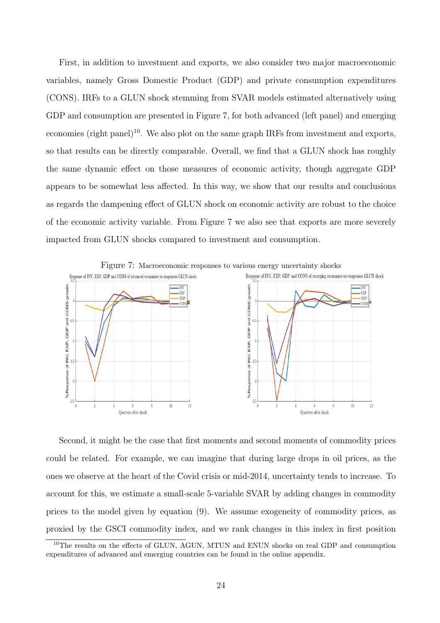First, in addition to investment and exports, we also consider two major macroeconomic variables, namely Gross Domestic Product (GDP) and private consumption expenditures (CONS). IRFs to a GLUN shock stemming from SVAR models estimated alternatively using GDP and consumption are presented in Figure 7, for both advanced (left panel) and emerging economies (right panel)<sup>10</sup>. We also plot on the same graph IRFs from investment and exports, so that results can be directly comparable. Overall, we find that a GLUN shock has roughly the same dynamic effect on those measures of economic activity, though aggregate GDP appears to be somewhat less affected. In this way, we show that our results and conclusions as regards the dampening effect of GLUN shock on economic activity are robust to the choice of the economic activity variable. From Figure 7 we also see that exports are more severely impacted from GLUN shocks compared to investment and consumption.



Second, it might be the case that first moments and second moments of commodity prices could be related. For example, we can imagine that during large drops in oil prices, as the ones we observe at the heart of the Covid crisis or mid-2014, uncertainty tends to increase. To account for this, we estimate a small-scale 5-variable SVAR by adding changes in commodity prices to the model given by equation (9). We assume exogeneity of commodity prices, as proxied by the GSCI commodity index, and we rank changes in this index in first position

<sup>&</sup>lt;sup>10</sup>The results on the effects of GLUN, AGUN, MTUN and ENUN shocks on real GDP and consumption expenditures of advanced and emerging countries can be found in the online appendix.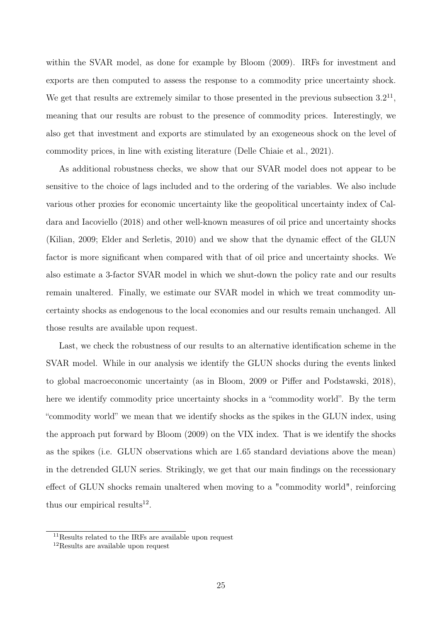within the SVAR model, as done for example by Bloom (2009). IRFs for investment and exports are then computed to assess the response to a commodity price uncertainty shock. We get that results are extremely similar to those presented in the previous subsection  $3.2^{11}$ , meaning that our results are robust to the presence of commodity prices. Interestingly, we also get that investment and exports are stimulated by an exogeneous shock on the level of commodity prices, in line with existing literature (Delle Chiaie et al., 2021).

As additional robustness checks, we show that our SVAR model does not appear to be sensitive to the choice of lags included and to the ordering of the variables. We also include various other proxies for economic uncertainty like the geopolitical uncertainty index of Caldara and Iacoviello (2018) and other well-known measures of oil price and uncertainty shocks (Kilian, 2009; Elder and Serletis, 2010) and we show that the dynamic effect of the GLUN factor is more significant when compared with that of oil price and uncertainty shocks. We also estimate a 3-factor SVAR model in which we shut-down the policy rate and our results remain unaltered. Finally, we estimate our SVAR model in which we treat commodity uncertainty shocks as endogenous to the local economies and our results remain unchanged. All those results are available upon request.

Last, we check the robustness of our results to an alternative identification scheme in the SVAR model. While in our analysis we identify the GLUN shocks during the events linked to global macroeconomic uncertainty (as in Bloom, 2009 or Piffer and Podstawski, 2018), here we identify commodity price uncertainty shocks in a "commodity world". By the term "commodity world" we mean that we identify shocks as the spikes in the GLUN index, using the approach put forward by Bloom (2009) on the VIX index. That is we identify the shocks as the spikes (i.e. GLUN observations which are 1.65 standard deviations above the mean) in the detrended GLUN series. Strikingly, we get that our main findings on the recessionary effect of GLUN shocks remain unaltered when moving to a "commodity world", reinforcing thus our empirical results<sup>12</sup>.

<sup>11</sup>Results related to the IRFs are available upon request

<sup>12</sup>Results are available upon request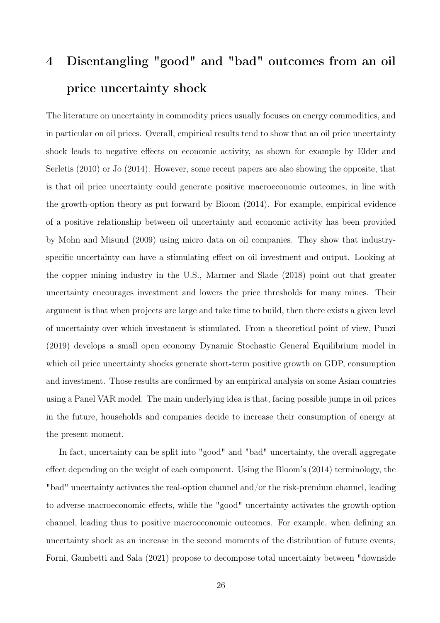# 4 Disentangling "good" and "bad" outcomes from an oil price uncertainty shock

The literature on uncertainty in commodity prices usually focuses on energy commodities, and in particular on oil prices. Overall, empirical results tend to show that an oil price uncertainty shock leads to negative effects on economic activity, as shown for example by Elder and Serletis (2010) or Jo (2014). However, some recent papers are also showing the opposite, that is that oil price uncertainty could generate positive macroeconomic outcomes, in line with the growth-option theory as put forward by Bloom (2014). For example, empirical evidence of a positive relationship between oil uncertainty and economic activity has been provided by Mohn and Misund (2009) using micro data on oil companies. They show that industryspecific uncertainty can have a stimulating effect on oil investment and output. Looking at the copper mining industry in the U.S., Marmer and Slade (2018) point out that greater uncertainty encourages investment and lowers the price thresholds for many mines. Their argument is that when projects are large and take time to build, then there exists a given level of uncertainty over which investment is stimulated. From a theoretical point of view, Punzi (2019) develops a small open economy Dynamic Stochastic General Equilibrium model in which oil price uncertainty shocks generate short-term positive growth on GDP, consumption and investment. Those results are confirmed by an empirical analysis on some Asian countries using a Panel VAR model. The main underlying idea is that, facing possible jumps in oil prices in the future, households and companies decide to increase their consumption of energy at the present moment.

In fact, uncertainty can be split into "good" and "bad" uncertainty, the overall aggregate effect depending on the weight of each component. Using the Bloom's (2014) terminology, the "bad" uncertainty activates the real-option channel and/or the risk-premium channel, leading to adverse macroeconomic effects, while the "good" uncertainty activates the growth-option channel, leading thus to positive macroeconomic outcomes. For example, when defining an uncertainty shock as an increase in the second moments of the distribution of future events, Forni, Gambetti and Sala (2021) propose to decompose total uncertainty between "downside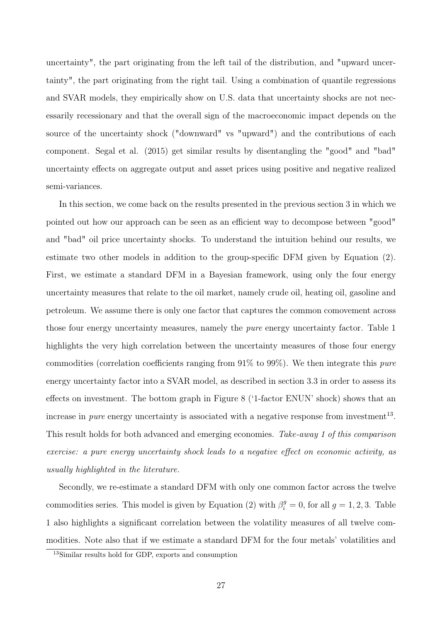uncertainty", the part originating from the left tail of the distribution, and "upward uncertainty", the part originating from the right tail. Using a combination of quantile regressions and SVAR models, they empirically show on U.S. data that uncertainty shocks are not necessarily recessionary and that the overall sign of the macroeconomic impact depends on the source of the uncertainty shock ("downward" vs "upward") and the contributions of each component. Segal et al. (2015) get similar results by disentangling the "good" and "bad" uncertainty effects on aggregate output and asset prices using positive and negative realized semi-variances.

In this section, we come back on the results presented in the previous section 3 in which we pointed out how our approach can be seen as an efficient way to decompose between "good" and "bad" oil price uncertainty shocks. To understand the intuition behind our results, we estimate two other models in addition to the group-specific DFM given by Equation (2). First, we estimate a standard DFM in a Bayesian framework, using only the four energy uncertainty measures that relate to the oil market, namely crude oil, heating oil, gasoline and petroleum. We assume there is only one factor that captures the common comovement across those four energy uncertainty measures, namely the pure energy uncertainty factor. Table 1 highlights the very high correlation between the uncertainty measures of those four energy commodities (correlation coefficients ranging from 91% to 99%). We then integrate this pure energy uncertainty factor into a SVAR model, as described in section 3.3 in order to assess its effects on investment. The bottom graph in Figure 8 ('1-factor ENUN' shock) shows that an increase in *pure* energy uncertainty is associated with a negative response from investment<sup>13</sup>. This result holds for both advanced and emerging economies. Take-away 1 of this comparison exercise: a pure energy uncertainty shock leads to a negative effect on economic activity, as usually highlighted in the literature.

Secondly, we re-estimate a standard DFM with only one common factor across the twelve commodities series. This model is given by Equation (2) with  $\beta_i^g = 0$ , for all  $g = 1, 2, 3$ . Table 1 also highlights a significant correlation between the volatility measures of all twelve commodities. Note also that if we estimate a standard DFM for the four metals' volatilities and

<sup>13</sup>Similar results hold for GDP, exports and consumption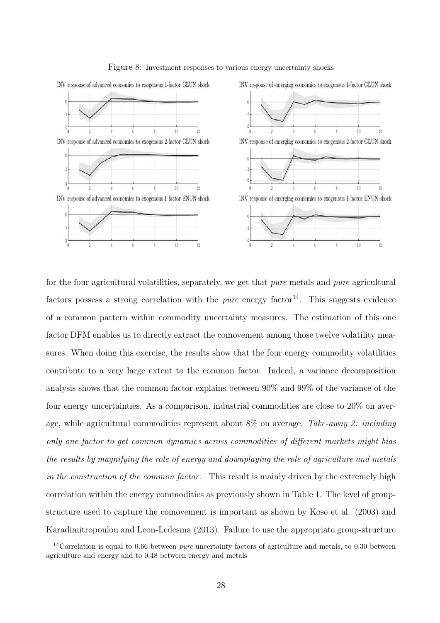

#### Figure 8: Investment responses to various energy uncertainty shocks

for the four agricultural volatilities, separately, we get that *pure* metals and *pure* agricultural factors possess a strong correlation with the *pure* energy factor<sup>14</sup>. This suggests evidence of a common pattern within commodity uncertainty measures. The estimation of this one factor DFM enables us to directly extract the comovement among those twelve volatility measures. When doing this exercise, the results show that the four energy commodity volatilities contribute to a very large extent to the common factor. Indeed, a variance decomposition analysis shows that the common factor explains between 90% and 99% of the variance of the four energy uncertainties. As a comparison, industrial commodities are close to 20% on average, while agricultural commodities represent about 8% on average. Take-away 2: including only one factor to get common dynamics across commodities of different markets might bias the results by magnifying the role of energy and downplaying the role of agriculture and metals in the construction of the common factor. This result is mainly driven by the extremely high correlation within the energy commodities as previously shown in Table 1. The level of groupstructure used to capture the comovement is important as shown by Kose et al. (2003) and Karadimitropoulou and Leon-Ledesma (2013). Failure to use the appropriate group-structure

 $14$ Correlation is equal to 0.66 between *pure* uncertainty factors of agriculture and metals, to 0.30 between agriculture and energy and to 0.48 between energy and metals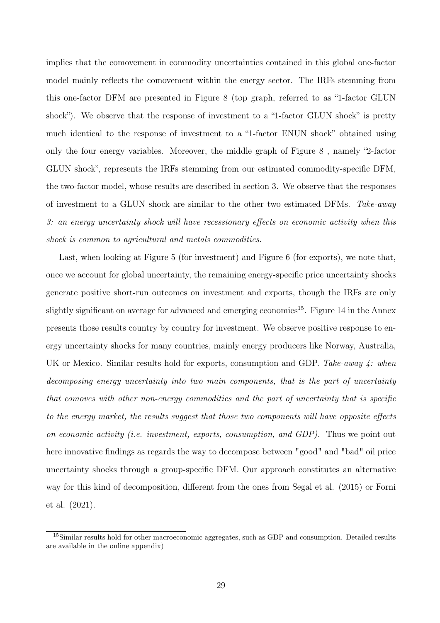implies that the comovement in commodity uncertainties contained in this global one-factor model mainly reflects the comovement within the energy sector. The IRFs stemming from this one-factor DFM are presented in Figure 8 (top graph, referred to as "1-factor GLUN shock"). We observe that the response of investment to a "1-factor GLUN shock" is pretty much identical to the response of investment to a "1-factor ENUN shock" obtained using only the four energy variables. Moreover, the middle graph of Figure 8 , namely "2-factor GLUN shock", represents the IRFs stemming from our estimated commodity-specific DFM, the two-factor model, whose results are described in section 3. We observe that the responses of investment to a GLUN shock are similar to the other two estimated DFMs. Take-away 3: an energy uncertainty shock will have recessionary effects on economic activity when this shock is common to agricultural and metals commodities.

Last, when looking at Figure 5 (for investment) and Figure 6 (for exports), we note that, once we account for global uncertainty, the remaining energy-specific price uncertainty shocks generate positive short-run outcomes on investment and exports, though the IRFs are only slightly significant on average for advanced and emerging economies<sup>15</sup>. Figure 14 in the Annex presents those results country by country for investment. We observe positive response to energy uncertainty shocks for many countries, mainly energy producers like Norway, Australia, UK or Mexico. Similar results hold for exports, consumption and GDP. Take-away  $\downarrow$ : when decomposing energy uncertainty into two main components, that is the part of uncertainty that comoves with other non-energy commodities and the part of uncertainty that is specific to the energy market, the results suggest that those two components will have opposite effects on economic activity (i.e. investment, exports, consumption, and GDP). Thus we point out here innovative findings as regards the way to decompose between "good" and "bad" oil price uncertainty shocks through a group-specific DFM. Our approach constitutes an alternative way for this kind of decomposition, different from the ones from Segal et al. (2015) or Forni et al. (2021).

<sup>15</sup>Similar results hold for other macroeconomic aggregates, such as GDP and consumption. Detailed results are available in the online appendix)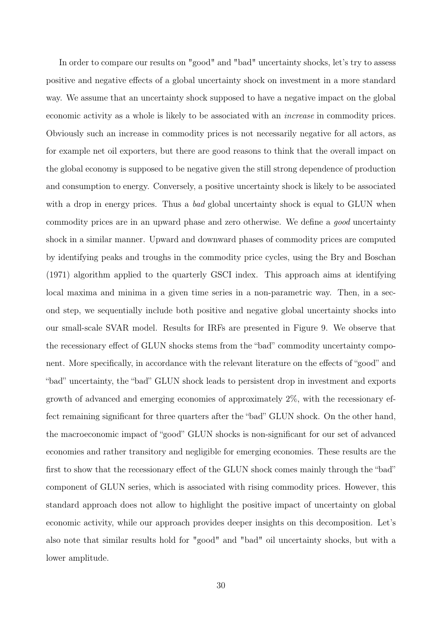In order to compare our results on "good" and "bad" uncertainty shocks, let's try to assess positive and negative effects of a global uncertainty shock on investment in a more standard way. We assume that an uncertainty shock supposed to have a negative impact on the global economic activity as a whole is likely to be associated with an increase in commodity prices. Obviously such an increase in commodity prices is not necessarily negative for all actors, as for example net oil exporters, but there are good reasons to think that the overall impact on the global economy is supposed to be negative given the still strong dependence of production and consumption to energy. Conversely, a positive uncertainty shock is likely to be associated with a drop in energy prices. Thus a bad global uncertainty shock is equal to GLUN when commodity prices are in an upward phase and zero otherwise. We define a good uncertainty shock in a similar manner. Upward and downward phases of commodity prices are computed by identifying peaks and troughs in the commodity price cycles, using the Bry and Boschan (1971) algorithm applied to the quarterly GSCI index. This approach aims at identifying local maxima and minima in a given time series in a non-parametric way. Then, in a second step, we sequentially include both positive and negative global uncertainty shocks into our small-scale SVAR model. Results for IRFs are presented in Figure 9. We observe that the recessionary effect of GLUN shocks stems from the "bad" commodity uncertainty component. More specifically, in accordance with the relevant literature on the effects of "good" and "bad" uncertainty, the "bad" GLUN shock leads to persistent drop in investment and exports growth of advanced and emerging economies of approximately 2%, with the recessionary effect remaining significant for three quarters after the "bad" GLUN shock. On the other hand, the macroeconomic impact of "good" GLUN shocks is non-significant for our set of advanced economies and rather transitory and negligible for emerging economies. These results are the first to show that the recessionary effect of the GLUN shock comes mainly through the "bad" component of GLUN series, which is associated with rising commodity prices. However, this standard approach does not allow to highlight the positive impact of uncertainty on global economic activity, while our approach provides deeper insights on this decomposition. Let's also note that similar results hold for "good" and "bad" oil uncertainty shocks, but with a lower amplitude.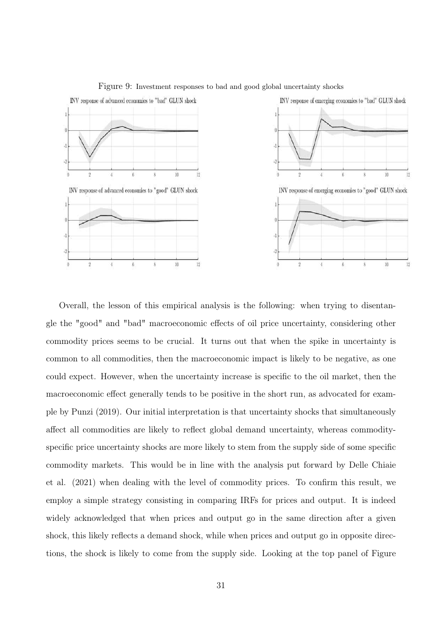

Figure 9: Investment responses to bad and good global uncertainty shocks

Overall, the lesson of this empirical analysis is the following: when trying to disentangle the "good" and "bad" macroeconomic effects of oil price uncertainty, considering other commodity prices seems to be crucial. It turns out that when the spike in uncertainty is common to all commodities, then the macroeconomic impact is likely to be negative, as one could expect. However, when the uncertainty increase is specific to the oil market, then the macroeconomic effect generally tends to be positive in the short run, as advocated for example by Punzi (2019). Our initial interpretation is that uncertainty shocks that simultaneously affect all commodities are likely to reflect global demand uncertainty, whereas commodityspecific price uncertainty shocks are more likely to stem from the supply side of some specific commodity markets. This would be in line with the analysis put forward by Delle Chiaie et al. (2021) when dealing with the level of commodity prices. To confirm this result, we employ a simple strategy consisting in comparing IRFs for prices and output. It is indeed widely acknowledged that when prices and output go in the same direction after a given shock, this likely reflects a demand shock, while when prices and output go in opposite directions, the shock is likely to come from the supply side. Looking at the top panel of Figure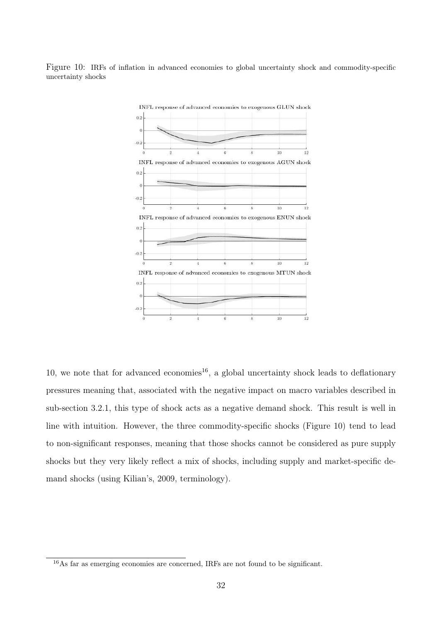Figure 10: IRFs of inflation in advanced economies to global uncertainty shock and commodity-specific uncertainty shocks



10, we note that for advanced economies<sup>16</sup>, a global uncertainty shock leads to deflationary pressures meaning that, associated with the negative impact on macro variables described in sub-section 3.2.1, this type of shock acts as a negative demand shock. This result is well in line with intuition. However, the three commodity-specific shocks (Figure 10) tend to lead to non-significant responses, meaning that those shocks cannot be considered as pure supply shocks but they very likely reflect a mix of shocks, including supply and market-specific demand shocks (using Kilian's, 2009, terminology).

<sup>16</sup>As far as emerging economies are concerned, IRFs are not found to be significant.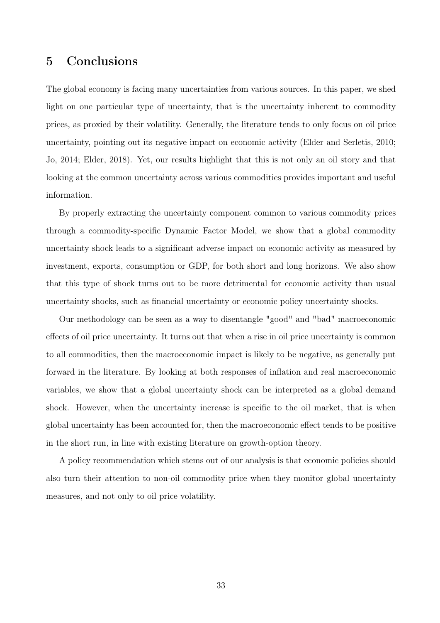## 5 Conclusions

The global economy is facing many uncertainties from various sources. In this paper, we shed light on one particular type of uncertainty, that is the uncertainty inherent to commodity prices, as proxied by their volatility. Generally, the literature tends to only focus on oil price uncertainty, pointing out its negative impact on economic activity (Elder and Serletis, 2010; Jo, 2014; Elder, 2018). Yet, our results highlight that this is not only an oil story and that looking at the common uncertainty across various commodities provides important and useful information.

By properly extracting the uncertainty component common to various commodity prices through a commodity-specific Dynamic Factor Model, we show that a global commodity uncertainty shock leads to a significant adverse impact on economic activity as measured by investment, exports, consumption or GDP, for both short and long horizons. We also show that this type of shock turns out to be more detrimental for economic activity than usual uncertainty shocks, such as financial uncertainty or economic policy uncertainty shocks.

Our methodology can be seen as a way to disentangle "good" and "bad" macroeconomic effects of oil price uncertainty. It turns out that when a rise in oil price uncertainty is common to all commodities, then the macroeconomic impact is likely to be negative, as generally put forward in the literature. By looking at both responses of inflation and real macroeconomic variables, we show that a global uncertainty shock can be interpreted as a global demand shock. However, when the uncertainty increase is specific to the oil market, that is when global uncertainty has been accounted for, then the macroeconomic effect tends to be positive in the short run, in line with existing literature on growth-option theory.

A policy recommendation which stems out of our analysis is that economic policies should also turn their attention to non-oil commodity price when they monitor global uncertainty measures, and not only to oil price volatility.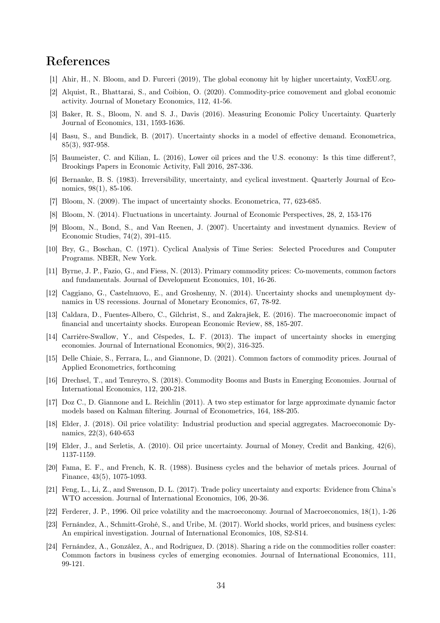## References

- [1] Ahir, H., N. Bloom, and D. Furceri (2019), The global economy hit by higher uncertainty, VoxEU.org.
- [2] Alquist, R., Bhattarai, S., and Coibion, O. (2020). Commodity-price comovement and global economic activity. Journal of Monetary Economics, 112, 41-56.
- [3] Baker, R. S., Bloom, N. and S. J., Davis (2016). Measuring Economic Policy Uncertainty. Quarterly Journal of Economics, 131, 1593-1636.
- [4] Basu, S., and Bundick, B. (2017). Uncertainty shocks in a model of effective demand. Econometrica, 85(3), 937-958.
- [5] Baumeister, C. and Kilian, L. (2016), Lower oil prices and the U.S. economy: Is this time different?, Brookings Papers in Economic Activity, Fall 2016, 287-336.
- [6] Bernanke, B. S. (1983). Irreversibility, uncertainty, and cyclical investment. Quarterly Journal of Economics, 98(1), 85-106.
- [7] Bloom, N. (2009). The impact of uncertainty shocks. Econometrica, 77, 623-685.
- [8] Bloom, N. (2014). Fluctuations in uncertainty. Journal of Economic Perspectives, 28, 2, 153-176
- [9] Bloom, N., Bond, S., and Van Reenen, J. (2007). Uncertainty and investment dynamics. Review of Economic Studies, 74(2), 391-415.
- [10] Bry, G., Boschan, C. (1971). Cyclical Analysis of Time Series: Selected Procedures and Computer Programs. NBER, New York.
- [11] Byrne, J. P., Fazio, G., and Fiess, N. (2013). Primary commodity prices: Co-movements, common factors and fundamentals. Journal of Development Economics, 101, 16-26.
- [12] Caggiano, G., Castelnuovo, E., and Groshenny, N. (2014). Uncertainty shocks and unemployment dynamics in US recessions. Journal of Monetary Economics, 67, 78-92.
- [13] Caldara, D., Fuentes-Albero, C., Gilchrist, S., and Zakrajšek, E. (2016). The macroeconomic impact of financial and uncertainty shocks. European Economic Review, 88, 185-207.
- [14] Carrière-Swallow, Y., and Céspedes, L. F. (2013). The impact of uncertainty shocks in emerging economies. Journal of International Economics, 90(2), 316-325.
- [15] Delle Chiaie, S., Ferrara, L., and Giannone, D. (2021). Common factors of commodity prices. Journal of Applied Econometrics, forthcoming
- [16] Drechsel, T., and Tenreyro, S. (2018). Commodity Booms and Busts in Emerging Economies. Journal of International Economics, 112, 200-218.
- [17] Doz C., D. Giannone and L. Reichlin (2011). A two step estimator for large approximate dynamic factor models based on Kalman filtering. Journal of Econometrics, 164, 188-205.
- [18] Elder, J. (2018). Oil price volatility: Industrial production and special aggregates. Macroeconomic Dynamics, 22(3), 640-653
- [19] Elder, J., and Serletis, A. (2010). Oil price uncertainty. Journal of Money, Credit and Banking, 42(6), 1137-1159.
- [20] Fama, E. F., and French, K. R. (1988). Business cycles and the behavior of metals prices. Journal of Finance, 43(5), 1075-1093.
- [21] Feng, L., Li, Z., and Swenson, D. L. (2017). Trade policy uncertainty and exports: Evidence from China's WTO accession. Journal of International Economics, 106, 20-36.
- [22] Ferderer, J. P., 1996. Oil price volatility and the macroeconomy. Journal of Macroeconomics, 18(1), 1-26
- [23] Fernández, A., Schmitt-Grohé, S., and Uribe, M. (2017). World shocks, world prices, and business cycles: An empirical investigation. Journal of International Economics, 108, S2-S14.
- [24] Fernández, A., González, A., and Rodriguez, D. (2018). Sharing a ride on the commodities roller coaster: Common factors in business cycles of emerging economies. Journal of International Economics, 111, 99-121.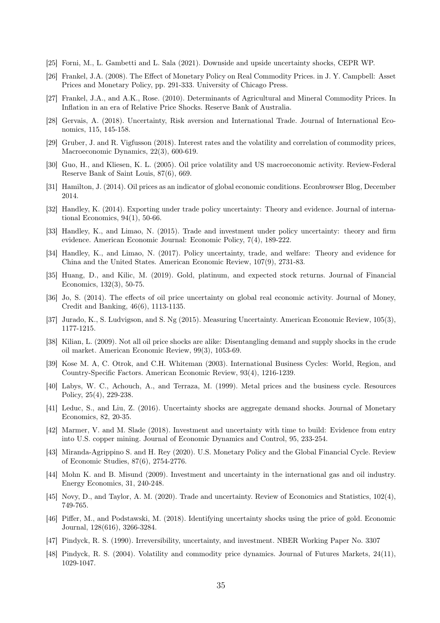- [25] Forni, M., L. Gambetti and L. Sala (2021). Downside and upside uncertainty shocks, CEPR WP.
- [26] Frankel, J.A. (2008). The Effect of Monetary Policy on Real Commodity Prices. in J. Y. Campbell: Asset Prices and Monetary Policy, pp. 291-333. University of Chicago Press.
- [27] Frankel, J.A., and A.K., Rose. (2010). Determinants of Agricultural and Mineral Commodity Prices. In Inflation in an era of Relative Price Shocks. Reserve Bank of Australia.
- [28] Gervais, A. (2018). Uncertainty, Risk aversion and International Trade. Journal of International Economics, 115, 145-158.
- [29] Gruber, J. and R. Vigfusson (2018). Interest rates and the volatility and correlation of commodity prices, Macroeconomic Dynamics, 22(3), 600-619.
- [30] Guo, H., and Kliesen, K. L. (2005). Oil price volatility and US macroeconomic activity. Review-Federal Reserve Bank of Saint Louis, 87(6), 669.
- [31] Hamilton, J. (2014). Oil prices as an indicator of global economic conditions. Econbrowser Blog, December 2014.
- [32] Handley, K. (2014). Exporting under trade policy uncertainty: Theory and evidence. Journal of international Economics, 94(1), 50-66.
- [33] Handley, K., and Limao, N. (2015). Trade and investment under policy uncertainty: theory and firm evidence. American Economic Journal: Economic Policy, 7(4), 189-222.
- [34] Handley, K., and Limao, N. (2017). Policy uncertainty, trade, and welfare: Theory and evidence for China and the United States. American Economic Review, 107(9), 2731-83.
- [35] Huang, D., and Kilic, M. (2019). Gold, platinum, and expected stock returns. Journal of Financial Economics, 132(3), 50-75.
- [36] Jo, S. (2014). The effects of oil price uncertainty on global real economic activity. Journal of Money, Credit and Banking, 46(6), 1113-1135.
- [37] Jurado, K., S. Ludvigson, and S. Ng (2015). Measuring Uncertainty. American Economic Review, 105(3), 1177-1215.
- [38] Kilian, L. (2009). Not all oil price shocks are alike: Disentangling demand and supply shocks in the crude oil market. American Economic Review, 99(3), 1053-69.
- [39] Kose M. A, C. Otrok, and C.H. Whiteman (2003). International Business Cycles: World, Region, and Country-Specific Factors. American Economic Review, 93(4), 1216-1239.
- [40] Labys, W. C., Achouch, A., and Terraza, M. (1999). Metal prices and the business cycle. Resources Policy, 25(4), 229-238.
- [41] Leduc, S., and Liu, Z. (2016). Uncertainty shocks are aggregate demand shocks. Journal of Monetary Economics, 82, 20-35.
- [42] Marmer, V. and M. Slade (2018). Investment and uncertainty with time to build: Evidence from entry into U.S. copper mining. Journal of Economic Dynamics and Control, 95, 233-254.
- [43] Miranda-Agrippino S. and H. Rey (2020). U.S. Monetary Policy and the Global Financial Cycle. Review of Economic Studies, 87(6), 2754-2776.
- [44] Mohn K. and B. Misund (2009). Investment and uncertainty in the international gas and oil industry. Energy Economics, 31, 240-248.
- [45] Novy, D., and Taylor, A. M. (2020). Trade and uncertainty. Review of Economics and Statistics, 102(4), 749-765.
- [46] Piffer, M., and Podstawski, M. (2018). Identifying uncertainty shocks using the price of gold. Economic Journal, 128(616), 3266-3284.
- [47] Pindyck, R. S. (1990). Irreversibility, uncertainty, and investment. NBER Working Paper No. 3307
- [48] Pindyck, R. S. (2004). Volatility and commodity price dynamics. Journal of Futures Markets, 24(11), 1029-1047.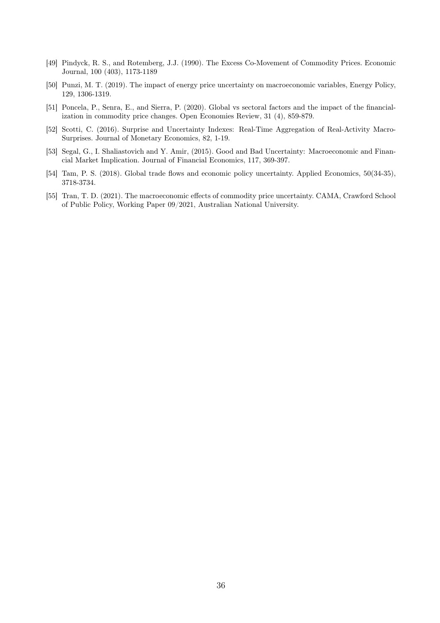- [49] Pindyck, R. S., and Rotemberg, J.J. (1990). The Excess Co-Movement of Commodity Prices. Economic Journal, 100 (403), 1173-1189
- [50] Punzi, M. T. (2019). The impact of energy price uncertainty on macroeconomic variables, Energy Policy, 129, 1306-1319.
- [51] Poncela, P., Senra, E., and Sierra, P. (2020). Global vs sectoral factors and the impact of the financialization in commodity price changes. Open Economies Review, 31 (4), 859-879.
- [52] Scotti, C. (2016). Surprise and Uncertainty Indexes: Real-Time Aggregation of Real-Activity Macro-Surprises. Journal of Monetary Economics, 82, 1-19.
- [53] Segal, G., I. Shaliastovich and Y. Amir, (2015). Good and Bad Uncertainty: Macroeconomic and Financial Market Implication. Journal of Financial Economics, 117, 369-397.
- [54] Tam, P. S. (2018). Global trade flows and economic policy uncertainty. Applied Economics, 50(34-35), 3718-3734.
- [55] Tran, T. D. (2021). The macroeconomic effects of commodity price uncertainty. CAMA, Crawford School of Public Policy, Working Paper 09/2021, Australian National University.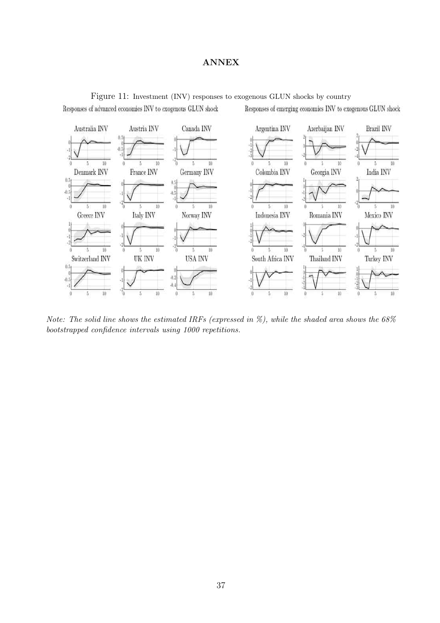### ANNEX



Figure 11: Investment (INV) responses to exogenous GLUN shocks by country Responses of advanced economies INV to exogenous GLUN shock Responses of emerging economies INV to exogenous GLUN shock

*Note: The solid line shows the estimated IRFs (expressed in %), while the shaded area shows the 68% bootstrapped confidence intervals using 1000 repetitions.*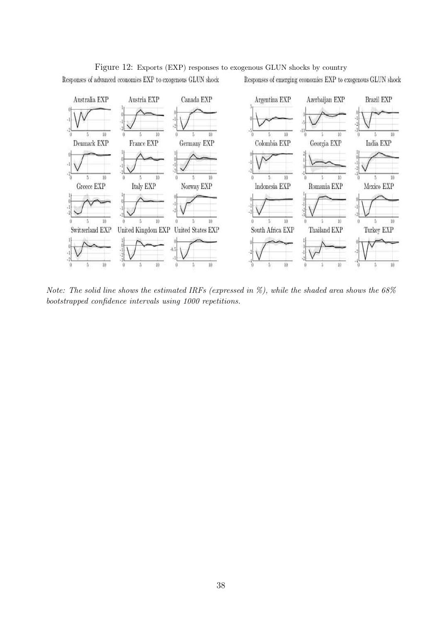

#### Figure 12: Exports (EXP) responses to exogenous GLUN shocks by country

Responses of advanced economies EXP to exogenous GLUN shock

Responses of emerging economies EXP to exogenous GLUN shock

*Note: The solid line shows the estimated IRFs (expressed in %), while the shaded area shows the 68% bootstrapped confidence intervals using 1000 repetitions.*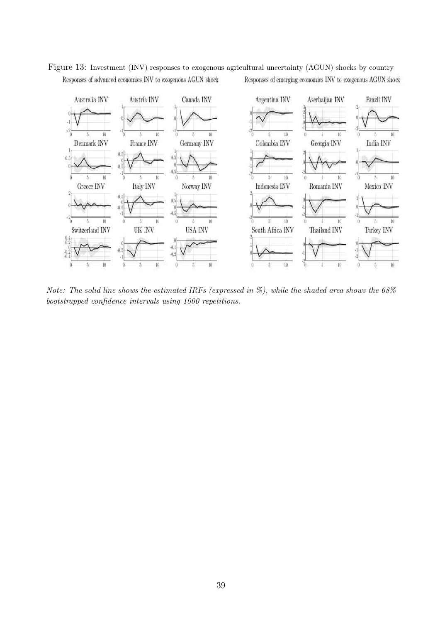

Figure 13: Investment (INV) responses to exogenous agricultural uncertainty (AGUN) shocks by country Responses of advanced economies INV to exogenous AGUN shock Responses of emerging economies INV to exogenous AGUN shock

*Note: The solid line shows the estimated IRFs (expressed in %), while the shaded area shows the 68% bootstrapped confidence intervals using 1000 repetitions.*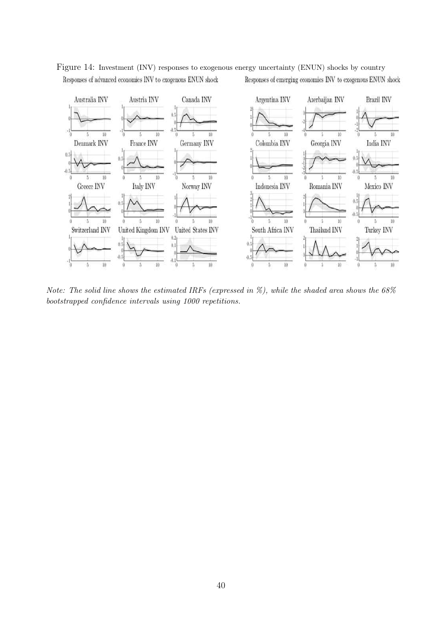

Figure 14: Investment (INV) responses to exogenous energy uncertainty (ENUN) shocks by country Responses of advanced economies INV to exogenous ENUN shock Responses of emerging economies INV to exogenous ENUN shock

*Note: The solid line shows the estimated IRFs (expressed in %), while the shaded area shows the 68% bootstrapped confidence intervals using 1000 repetitions.*